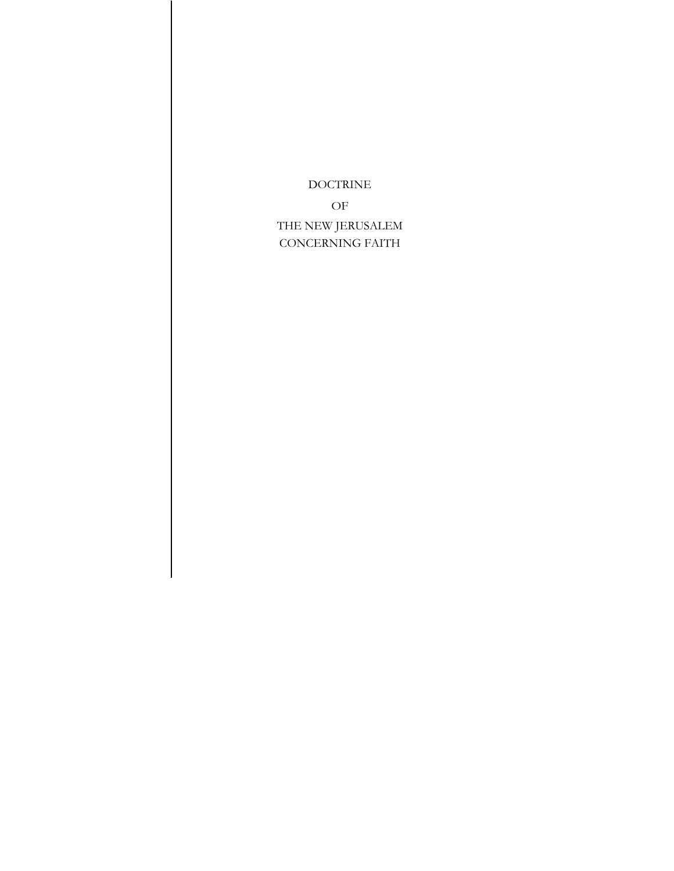DOCTRINE OF THE NEW JERUSALEM CONCERNING FAITH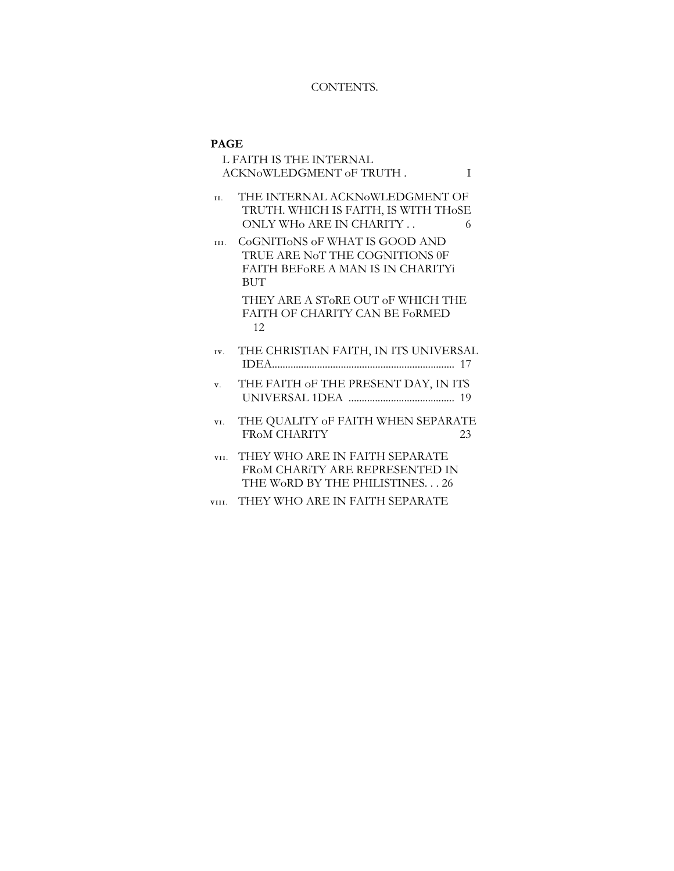# CONTENTS.

# **PAGE**

|       | L FAITH IS THE INTERNAL                                                                                             |  |
|-------|---------------------------------------------------------------------------------------------------------------------|--|
|       | ACKNOWLEDGMENT OF TRUTH.<br>T                                                                                       |  |
| H.    | THE INTERNAL ACKNoWLEDGMENT OF<br>TRUTH. WHICH IS FAITH, IS WITH THOSE<br>ONLY WHO ARE IN CHARITY<br>6              |  |
| HL.   | CoGNITIONS OF WHAT IS GOOD AND<br>TRUE ARE NoT THE COGNITIONS OF<br>FAITH BEFORE A MAN IS IN CHARITY.<br><b>BUT</b> |  |
|       | THEY ARE A ST0RE OUT 0F WHICH THE<br>FAITH OF CHARITY CAN BE FORMED<br>12                                           |  |
| IV.   | THE CHRISTIAN FAITH, IN ITS UNIVERSAL                                                                               |  |
| V.    | THE FAITH OF THE PRESENT DAY, IN ITS                                                                                |  |
| VI.   | THE QUALITY OF FAITH WHEN SEPARATE<br><b>FROM CHARITY</b><br>23                                                     |  |
| VII.  | THEY WHO ARE IN FAITH SEPARATE<br>FROM CHARITY ARE REPRESENTED IN<br>THE WORD BY THE PHILISTINES26                  |  |
| VIII. | THEY WHO ARE IN FAITH SEPARATE                                                                                      |  |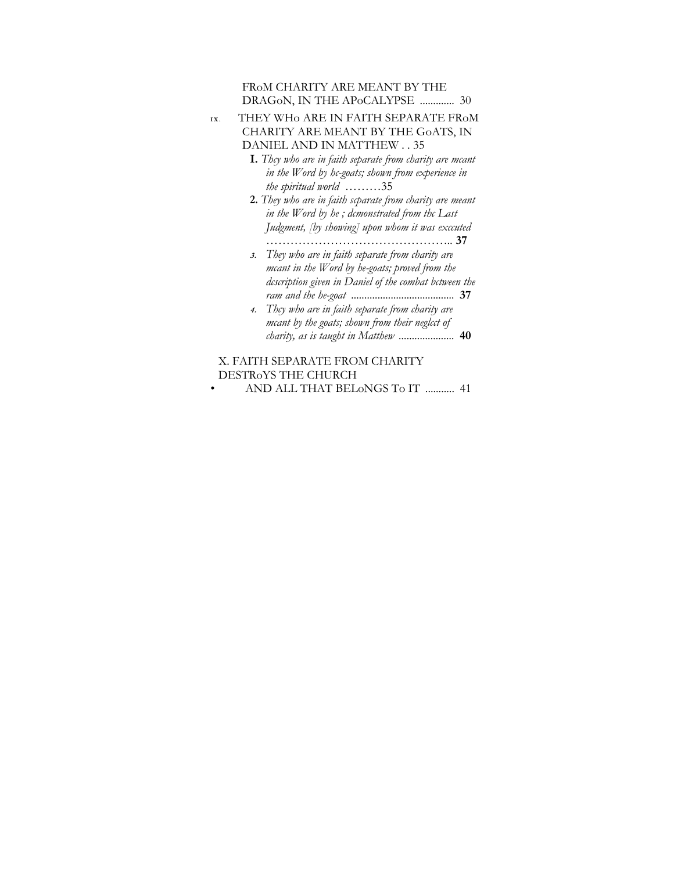| FROM CHARITY ARE MEANT BY THE                                                    |
|----------------------------------------------------------------------------------|
| DRAGON, IN THE APOCALYPSE  30                                                    |
| THEY WHO ARE IN FAITH SEPARATE FROM<br>IX.<br>CHARITY ARE MEANT BY THE GOATS, IN |
| DANIEL AND IN MATTHEW 35                                                         |
| <b>I.</b> They who are in faith separate from charity are meant                  |
| in the Word by hc-goats; shown from experience in                                |
| the spiritual world $\ldots \ldots \ldots 35$                                    |
| 2. They who are in faith scparate from charity are meant                         |
| in the Word by he; dcmonstrated from the Last                                    |
| Judgment, (by showing) upon whom it was exccuted                                 |
|                                                                                  |
| 3. They who are in faith separate from charity are                               |
| mcant in the Word by he-goats; proved from the                                   |
| dcscription given in Daniel of the combat between the                            |
| …… 37                                                                            |
| 4. They who are in faith separate from charity are                               |
| meant by the goats; shown from their neglect of                                  |
| charity, as is taught in Matthew  40                                             |
|                                                                                  |
| X. FAITH SEPARATE FROM CHARITY                                                   |
| <b>DESTROYS THE CHURCH</b>                                                       |

|  |  |  | AND ALL THAT BELONGS To IT  41 |  |  |  |
|--|--|--|--------------------------------|--|--|--|
|--|--|--|--------------------------------|--|--|--|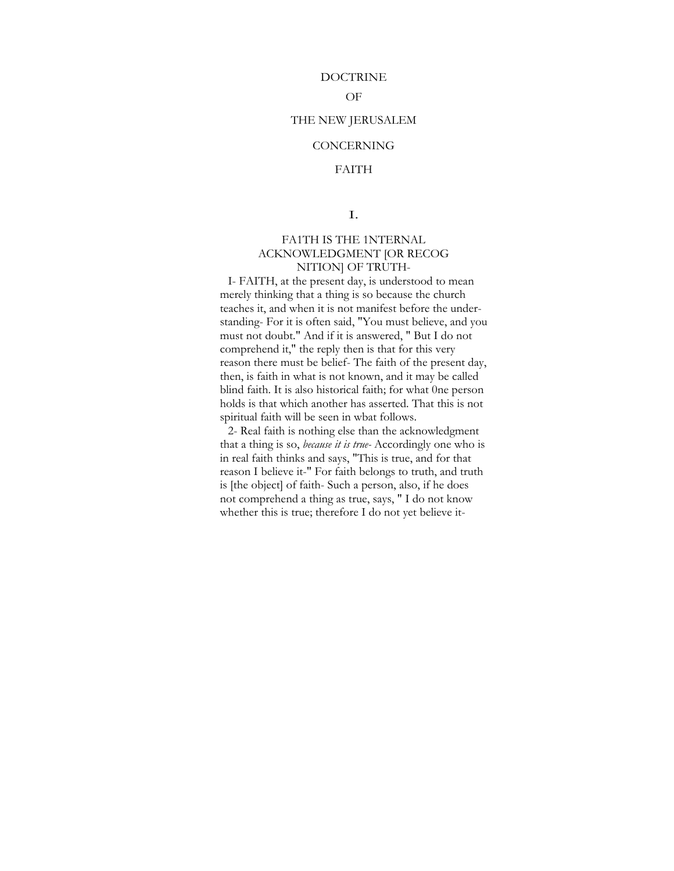#### DOCTRINE

#### OF

## THE NEW JERUSALEM

# **CONCERNING**

# FAITH

### I.

# FA1TH IS THE 1NTERNAL ACKNOWLEDGMENT [OR RECOG NITION] OF TRUTH-

I- FAITH, at the present day, is understood to mean merely thinking that a thing is so because the church teaches it, and when it is not manifest before the understanding- For it is often said, "You must believe, and you must not doubt." And if it is answered, " But I do not comprehend it," the reply then is that for this very reason there must be belief- The faith of the present day, then, is faith in what is not known, and it may be called blind faith. It is also historical faith; for what 0ne person holds is that which another has asserted. That this is not spiritual faith will be seen in wbat follows.

2- Real faith is nothing else than the acknowledgment that a thing is so, *because it is true-* Accordingly one who is in real faith thinks and says, "This is true, and for that reason I believe it-" For faith belongs to truth, and truth is [the object] of faith- Such a person, also, if he does not comprehend a thing as true, says, " I do not know whether this is true; therefore I do not yet believe it-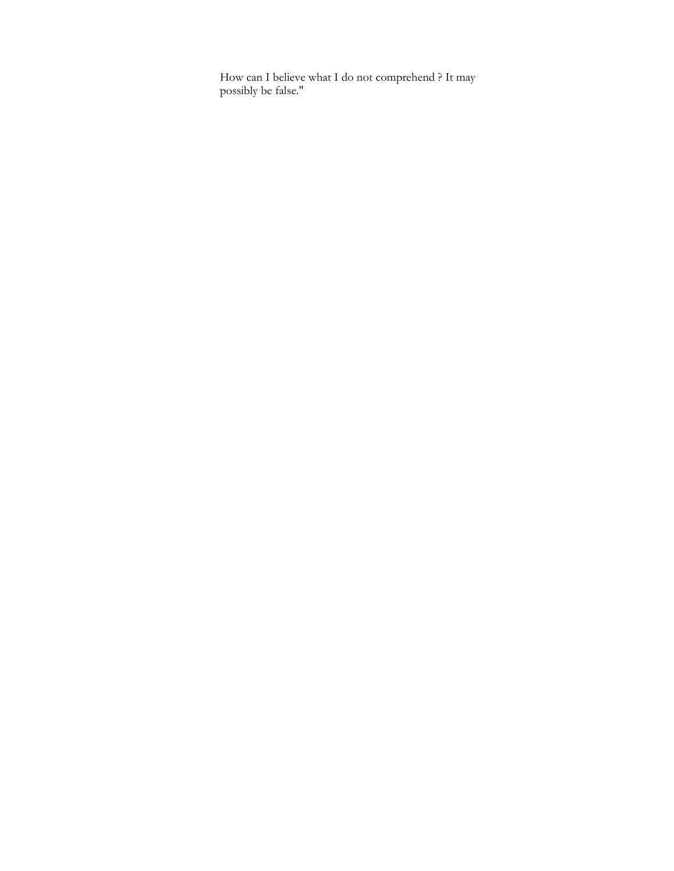How can I believe what I do not comprehend ? It may possibly be false."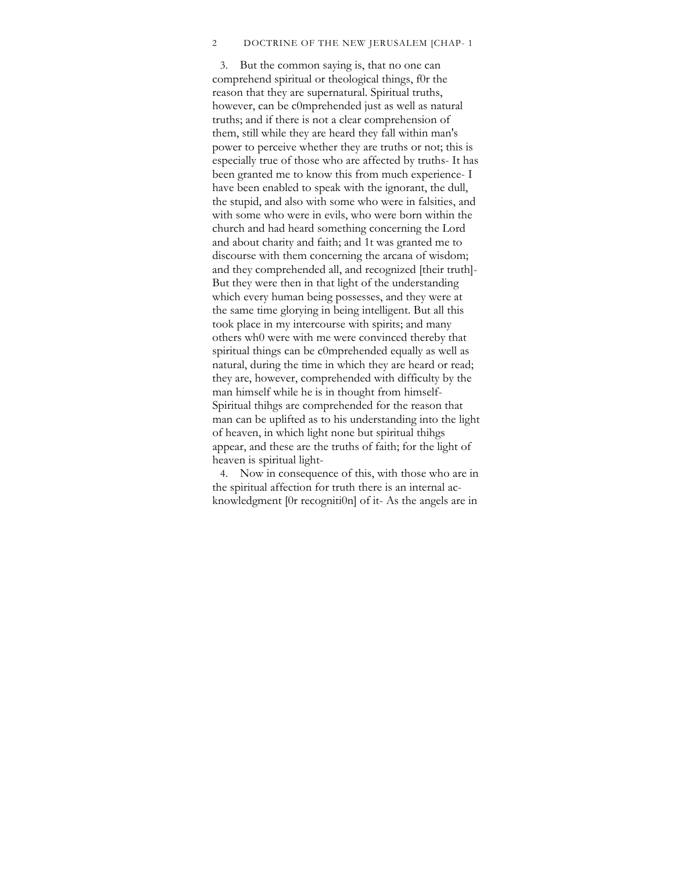#### 2 DOCTRINE OF THE NEW JERUSALEM [CHAP- 1

3. But the common saying is, that no one can comprehend spiritual or theological things, f0r the reason that they are supernatural. Spiritual truths, however, can be c0mprehended just as well as natural truths; and if there is not a clear comprehension of them, still while they are heard they fall within man's power to perceive whether they are truths or not; this is especially true of those who are affected by truths- It has been granted me to know this from much experience- I have been enabled to speak with the ignorant, the dull, the stupid, and also with some who were in falsities, and with some who were in evils, who were born within the church and had heard something concerning the Lord and about charity and faith; and 1t was granted me to discourse with them concerning the arcana of wisdom; and they comprehended all, and recognized [their truth]- But they were then in that light of the understanding which every human being possesses, and they were at the same time glorying in being intelligent. But all this took place in my intercourse with spirits; and many others wh0 were with me were convinced thereby that spiritual things can be c0mprehended equally as well as natural, during the time in which they are heard or read; they are, however, comprehended with difficulty by the man himself while he is in thought from himself-Spiritual thihgs are comprehended for the reason that man can be uplifted as to his understanding into the light of heaven, in which light none but spiritual thihgs appear, and these are the truths of faith; for the light of heaven is spiritual light-

4. Now in consequence of this, with those who are in the spiritual affection for truth there is an internal acknowledgment [0r recogniti0n] of it- As the angels are in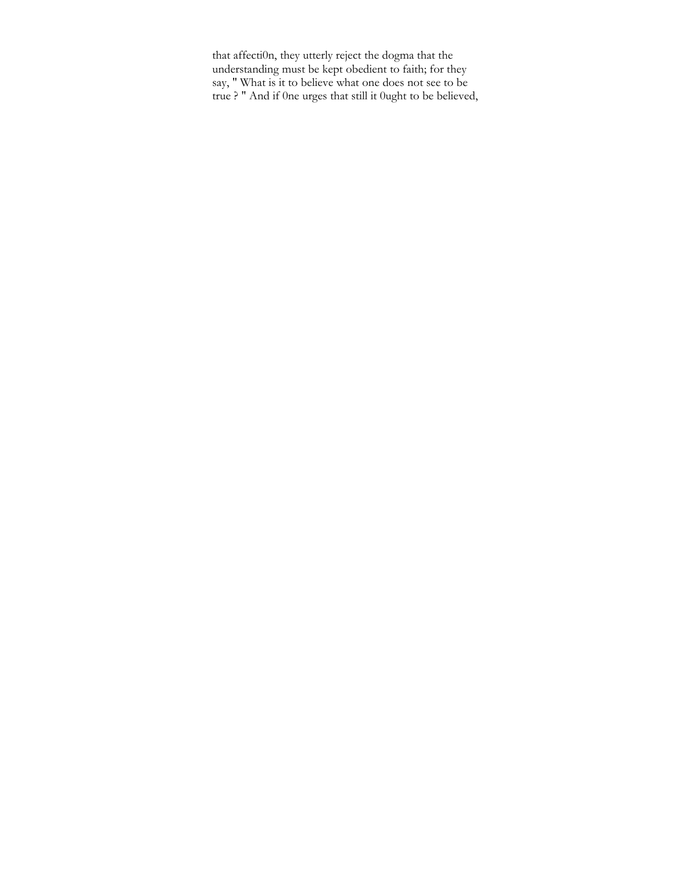that affecti0n, they utterly reject the dogma that the understanding must be kept obedient to faith; for they say, " What is it to believe what one does not see to be true ? " And if 0ne urges that still it 0ught to be believed,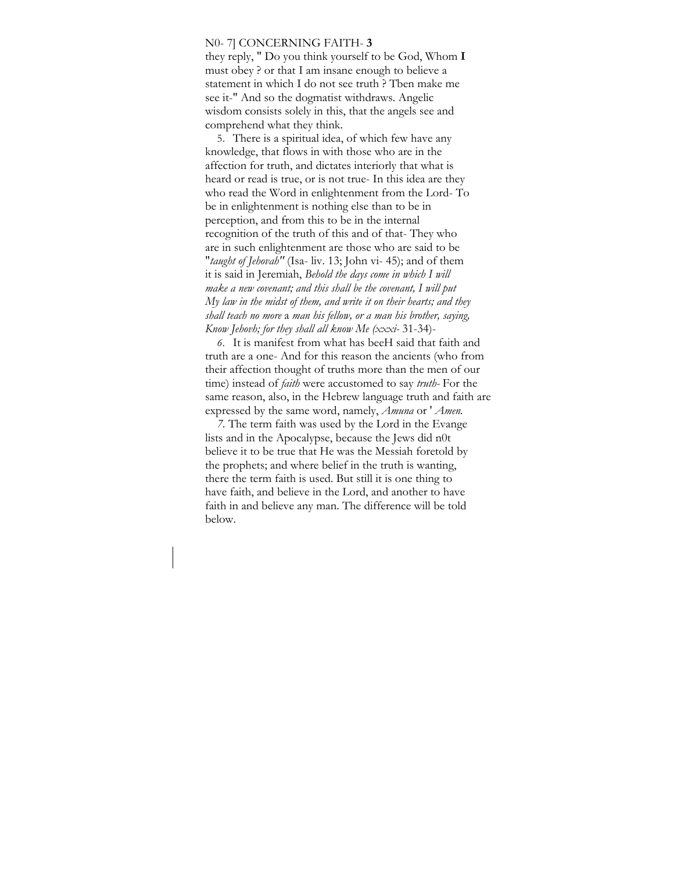#### N0- 7] CONCERNING FAITH- **3**

they reply, " Do you think yourself to be God, Whom **I**  must obey ? or that I am insane enough to believe a statement in which I do not see truth ? Tben make me see it-" And so the dogmatist withdraws. Angelic wisdom consists solely in this, that the angels see and comprehend what they think.

5. There is a spiritual idea, of which few have any knowledge, that flows in with those who are in the affection for truth, and dictates interiorly that what is heard or read is true, or is not true- In this idea are they who read the Word in enlightenment from the Lord- To be in enlightenment is nothing else than to be in perception, and from this to be in the internal recognition of the truth of this and of that- They who are in such enlightenment are those who are said to be "*taught of Jehovah"* (Isa- liv. 13; John vi- 45); and of them it is said in Jeremiah, *Behold the days come in which I will make a new covenant; and this shall be the covenant, I will put My law in the midst of them, and write it on their hearts; and they shall teach no more* a *man his fellow, or a man his brother, saying, Know Jehovh; for they shall all know Me (xxxi-* 31-34)-

*6.* It is manifest from what has beeH said that faith and truth are a one- And for this reason the ancients (who from their affection thought of truths more than the men of our time) instead of *faith* were accustomed to say *truth-* For the same reason, also, in the Hebrew language truth and faith are expressed by the same word, namely, *Amuna* or ' *Amen.* 

*7.* The term faith was used by the Lord in the Evange lists and in the Apocalypse, because the Jews did n0t believe it to be true that He was the Messiah foretold by the prophets; and where belief in the truth is wanting, there the term faith is used. But still it is one thing to have faith, and believe in the Lord, and another to have faith in and believe any man. The difference will be told below.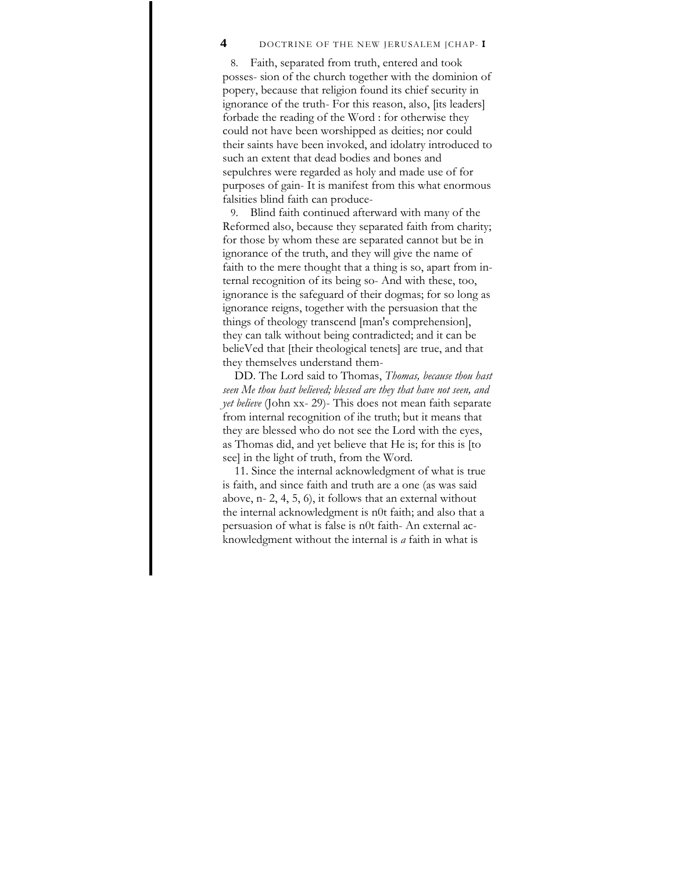## **4** DOCTRINE OF THE NEW JERUSALEM [CHAP- **<sup>I</sup>**

8. Faith, separated from truth, entered and took posses- sion of the church together with the dominion of popery, because that religion found its chief security in ignorance of the truth- For this reason, also, [its leaders] forbade the reading of the Word : for otherwise they could not have been worshipped as deities; nor could their saints have been invoked, and idolatry introduced to such an extent that dead bodies and bones and sepulchres were regarded as holy and made use of for purposes of gain- It is manifest from this what enormous falsities blind faith can produce-

9. Blind faith continued afterward with many of the Reformed also, because they separated faith from charity; for those by whom these are separated cannot but be in ignorance of the truth, and they will give the name of faith to the mere thought that a thing is so, apart from internal recognition of its being so- And with these, too, ignorance is the safeguard of their dogmas; for so long as ignorance reigns, together with the persuasion that the things of theology transcend [man's comprehension], they can talk without being contradicted; and it can be belieVed that [their theological tenets] are true, and that they themselves understand them-

DD. The Lord said to Thomas, *Thomas, because thou hast seen Me thou hast believed; blessed are they that have not seen, and yet believe* (John xx- 29)- This does not mean faith separate from internal recognition of ihe truth; but it means that they are blessed who do not see the Lord with the eyes, as Thomas did, and yet believe that He is; for this is [to see] in the light of truth, from the Word.

11. Since the internal acknowledgment of what is true is faith, and since faith and truth are a one (as was said above, n- 2, 4, 5, 6), it follows that an external without the internal acknowledgment is n0t faith; and also that a persuasion of what is false is n0t faith- An external acknowledgment without the internal is *a* faith in what is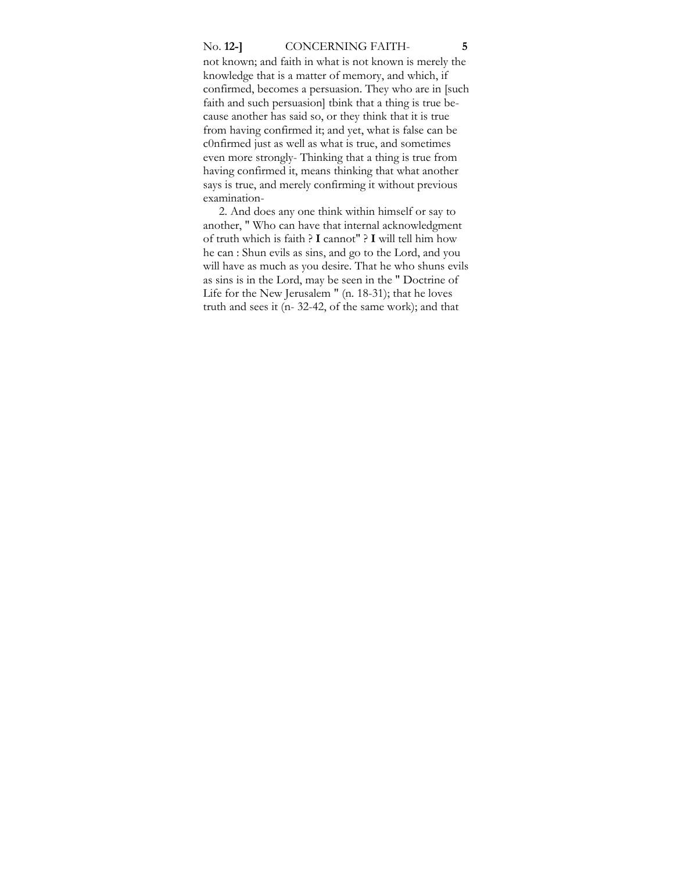# No. **12-]** CONCERNING FAITH- **5**

not known; and faith in what is not known is merely the knowledge that is a matter of memory, and which, if confirmed, becomes a persuasion. They who are in [such faith and such persuasion] tbink that a thing is true because another has said so, or they think that it is true from having confirmed it; and yet, what is false can be c0nfirmed just as well as what is true, and sometimes even more strongly- Thinking that a thing is true from having confirmed it, means thinking that what another says is true, and merely confirming it without previous examination-

2. And does any one think within himself or say to another, " Who can have that internal acknowledgment of truth which is faith ? **I** cannot" ? **I** will tell him how he can : Shun evils as sins, and go to the Lord, and you will have as much as you desire. That he who shuns evils as sins is in the Lord, may be seen in the " Doctrine of Life for the New Jerusalem " (n. 18-31); that he loves truth and sees it (n- 32-42, of the same work); and that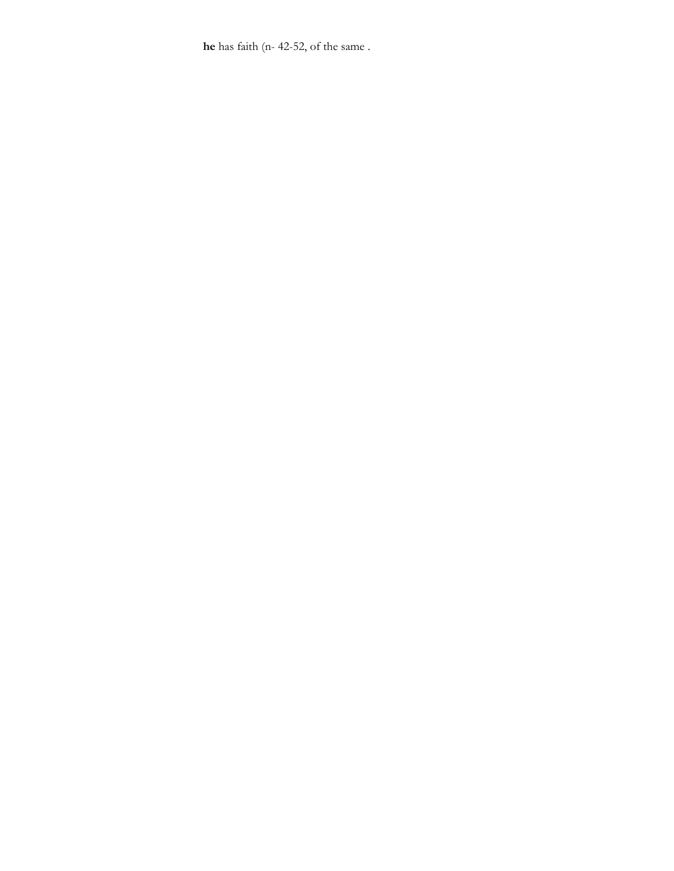**he** has faith (n- 42-52, of the same .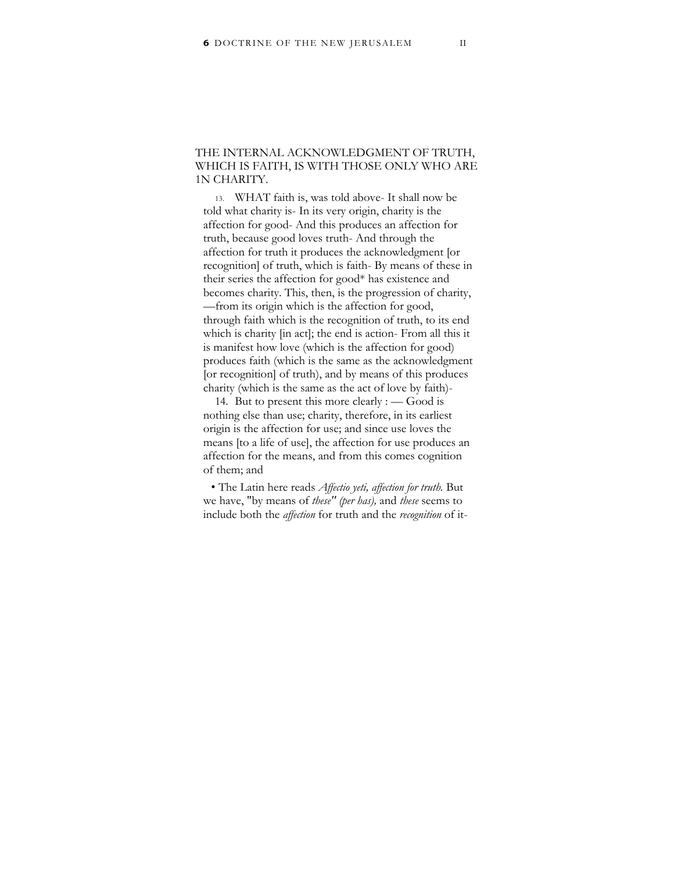# THE INTERNAL ACKNOWLEDGMENT OF TRUTH, WHICH IS FAITH, IS WITH THOSE ONLY WHO ARE 1N CHARITY.

13. WHAT faith is, was told above- It shall now be told what charity is- In its very origin, charity is the affection for good- And this produces an affection for truth, because good loves truth- And through the affection for truth it produces the acknowledgment [or recognition] of truth, which is faith- By means of these in their series the affection for good\* has existence and becomes charity. This, then, is the progression of charity, —from its origin which is the affection for good, through faith which is the recognition of truth, to its end which is charity [in act]; the end is action- From all this it is manifest how love (which is the affection for good) produces faith (which is the same as the acknowledgment [or recognition] of truth), and by means of this produces charity (which is the same as the act of love by faith)-

14. But to present this more clearly : — Good is nothing else than use; charity, therefore, in its earliest origin is the affection for use; and since use loves the means [to a life of use], the affection for use produces an affection for the means, and from this comes cognition of them; and

• The Latin here reads *Affectio yeti, affection for truth.* But we have, "by means of *these" (per has),* and *these* seems to include both the *affection* for truth and the *recognition* of it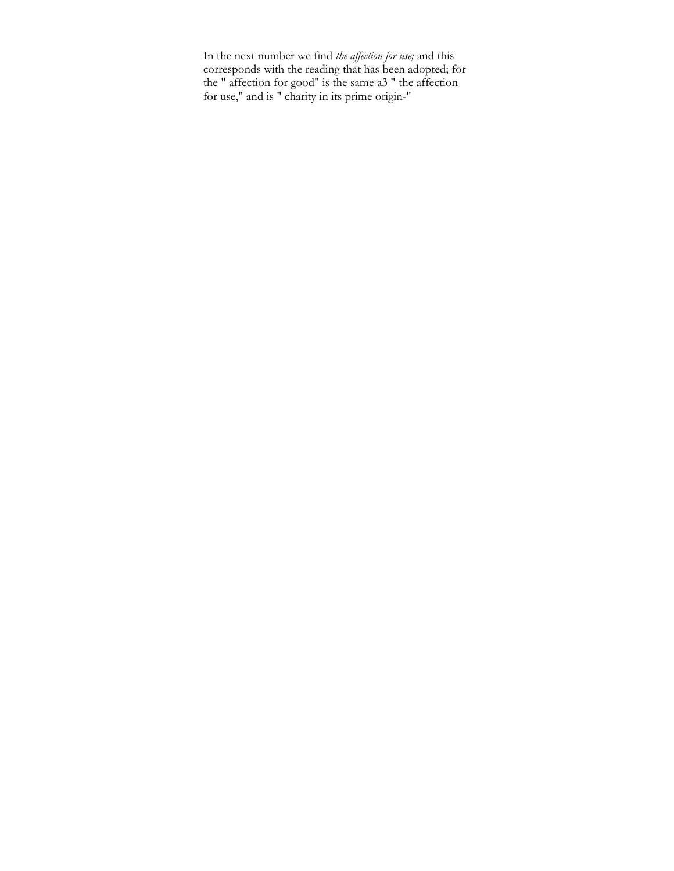In the next number we find *the affection for use;* and this corresponds with the reading that has been adopted; for the " affection for good" is the same a3 " the affection for use," and is " charity in its prime origin-"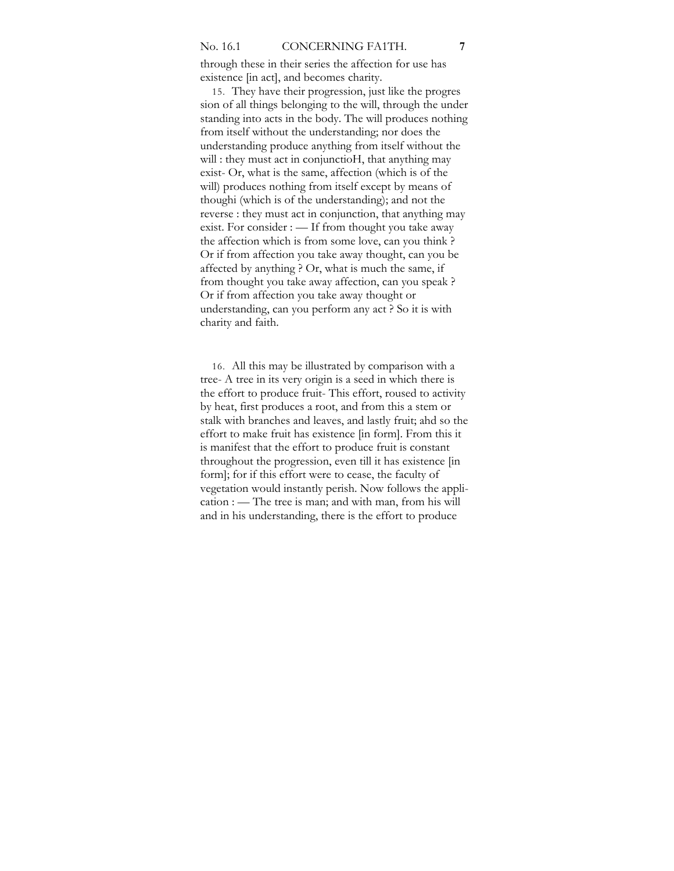through these in their series the affection for use has existence [in act], and becomes charity.

15. They have their progression, just like the progres sion of all things belonging to the will, through the under standing into acts in the body. The will produces nothing from itself without the understanding; nor does the understanding produce anything from itself without the will : they must act in conjunctioH, that anything may exist- Or, what is the same, affection (which is of the will) produces nothing from itself except by means of thoughi (which is of the understanding); and not the reverse : they must act in conjunction, that anything may exist. For consider : — If from thought you take away the affection which is from some love, can you think ? Or if from affection you take away thought, can you be affected by anything ? Or, what is much the same, if from thought you take away affection, can you speak ? Or if from affection you take away thought or understanding, can you perform any act ? So it is with charity and faith.

16. All this may be illustrated by comparison with a tree- A tree in its very origin is a seed in which there is the effort to produce fruit- This effort, roused to activity by heat, first produces a root, and from this a stem or stalk with branches and leaves, and lastly fruit; ahd so the effort to make fruit has existence [in form]. From this it is manifest that the effort to produce fruit is constant throughout the progression, even till it has existence [in form]; for if this effort were to cease, the faculty of vegetation would instantly perish. Now follows the application : — The tree is man; and with man, from his will and in his understanding, there is the effort to produce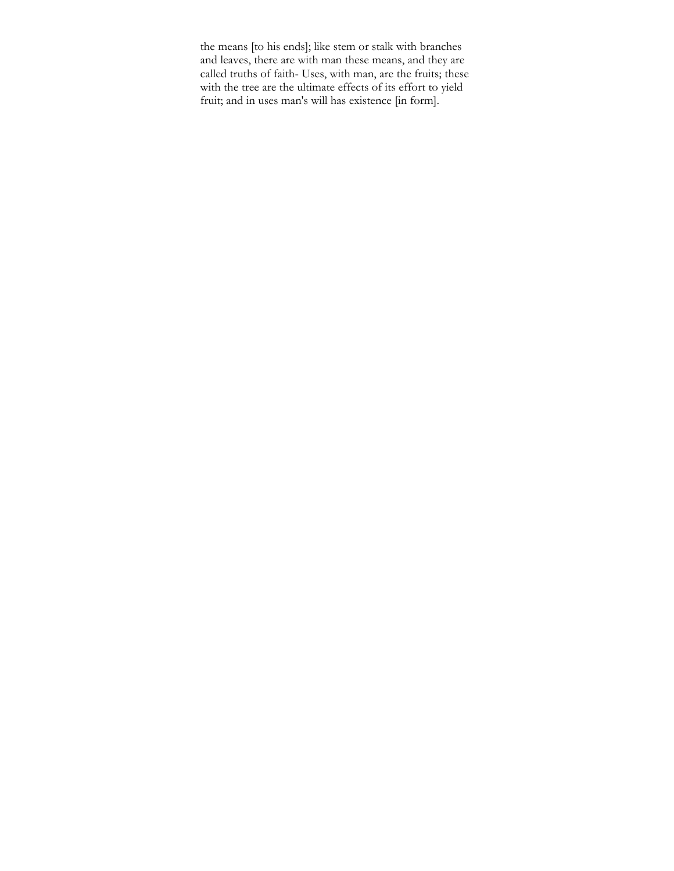the means [to his ends]; like stem or stalk with branches and leaves, there are with man these means, and they are called truths of faith- Uses, with man, are the fruits; these with the tree are the ultimate effects of its effort to yield fruit; and in uses man's will has existence [in form].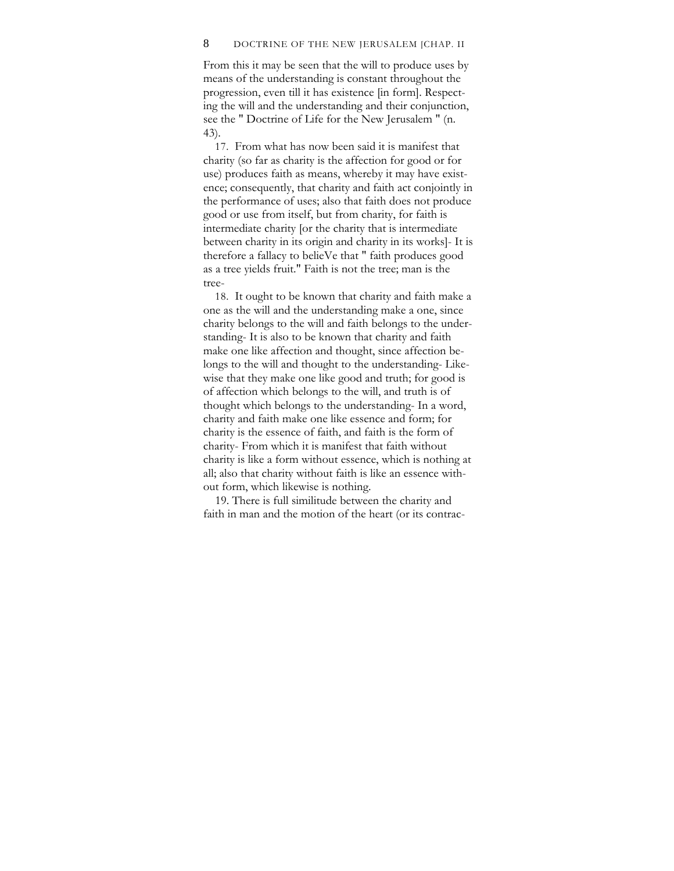# 8 DOCTRINE OF THE NEW JERUSALEM JCHAP. II

From this it may be seen that the will to produce uses by means of the understanding is constant throughout the progression, even till it has existence [in form]. Respecting the will and the understanding and their conjunction, see the " Doctrine of Life for the New Jerusalem " (n. 43).

17. From what has now been said it is manifest that charity (so far as charity is the affection for good or for use) produces faith as means, whereby it may have existence; consequently, that charity and faith act conjointly in the performance of uses; also that faith does not produce good or use from itself, but from charity, for faith is intermediate charity [or the charity that is intermediate between charity in its origin and charity in its works]- It is therefore a fallacy to belieVe that " faith produces good as a tree yields fruit." Faith is not the tree; man is the tree-

18. It ought to be known that charity and faith make a one as the will and the understanding make a one, since charity belongs to the will and faith belongs to the understanding- It is also to be known that charity and faith make one like affection and thought, since affection belongs to the will and thought to the understanding- Likewise that they make one like good and truth; for good is of affection which belongs to the will, and truth is of thought which belongs to the understanding- In a word, charity and faith make one like essence and form; for charity is the essence of faith, and faith is the form of charity- From which it is manifest that faith without charity is like a form without essence, which is nothing at all; also that charity without faith is like an essence without form, which likewise is nothing.

19. There is full similitude between the charity and faith in man and the motion of the heart (or its contrac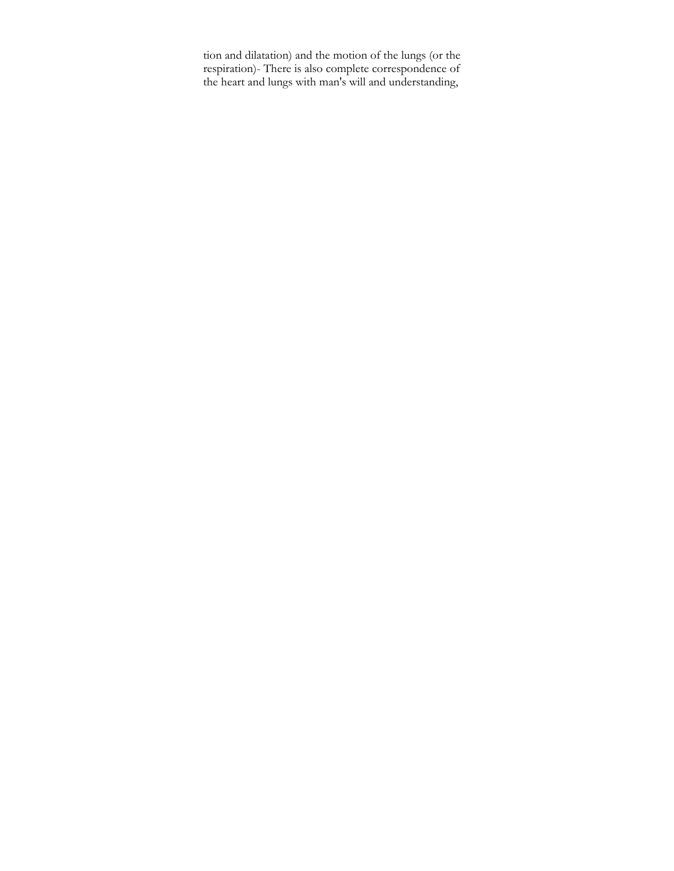tion and dilatation) and the motion of the lungs (or the respiration)- There is also complete correspondence of the heart and lungs with man's will and understanding,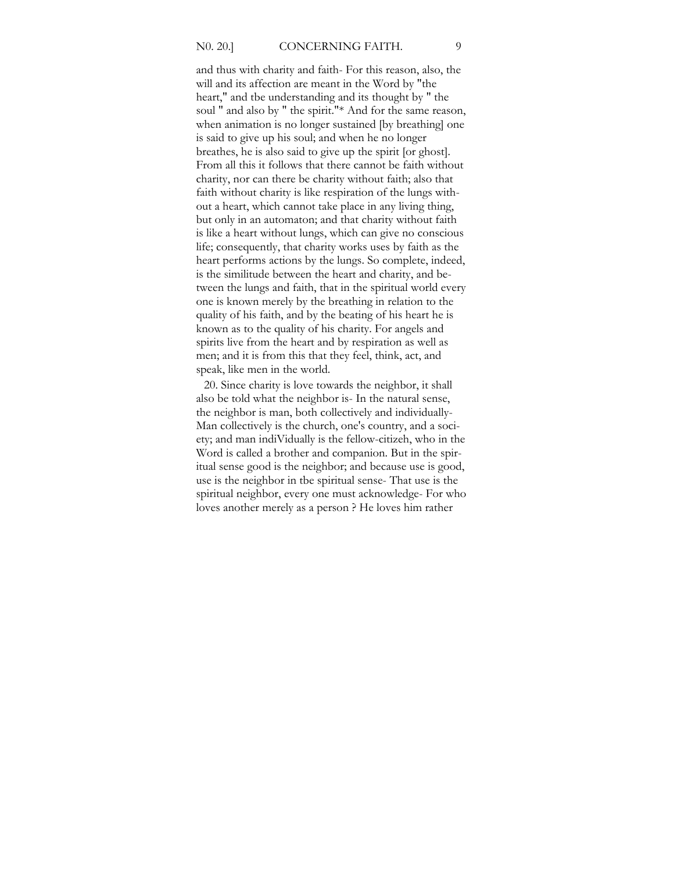and thus with charity and faith- For this reason, also, the will and its affection are meant in the Word by "the heart," and tbe understanding and its thought by " the soul " and also by " the spirit."\* And for the same reason, when animation is no longer sustained [by breathing] one is said to give up his soul; and when he no longer breathes, he is also said to give up the spirit [or ghost]. From all this it follows that there cannot be faith without charity, nor can there be charity without faith; also that faith without charity is like respiration of the lungs without a heart, which cannot take place in any living thing, but only in an automaton; and that charity without faith is like a heart without lungs, which can give no conscious life; consequently, that charity works uses by faith as the heart performs actions by the lungs. So complete, indeed, is the similitude between the heart and charity, and between the lungs and faith, that in the spiritual world every one is known merely by the breathing in relation to the quality of his faith, and by the beating of his heart he is known as to the quality of his charity. For angels and spirits live from the heart and by respiration as well as men; and it is from this that they feel, think, act, and speak, like men in the world.

20. Since charity is love towards the neighbor, it shall also be told what the neighbor is- In the natural sense, the neighbor is man, both collectively and individually-Man collectively is the church, one's country, and a society; and man indiVidually is the fellow-citizeh, who in the Word is called a brother and companion. But in the spiritual sense good is the neighbor; and because use is good, use is the neighbor in tbe spiritual sense- That use is the spiritual neighbor, every one must acknowledge- For who loves another merely as a person ? He loves him rather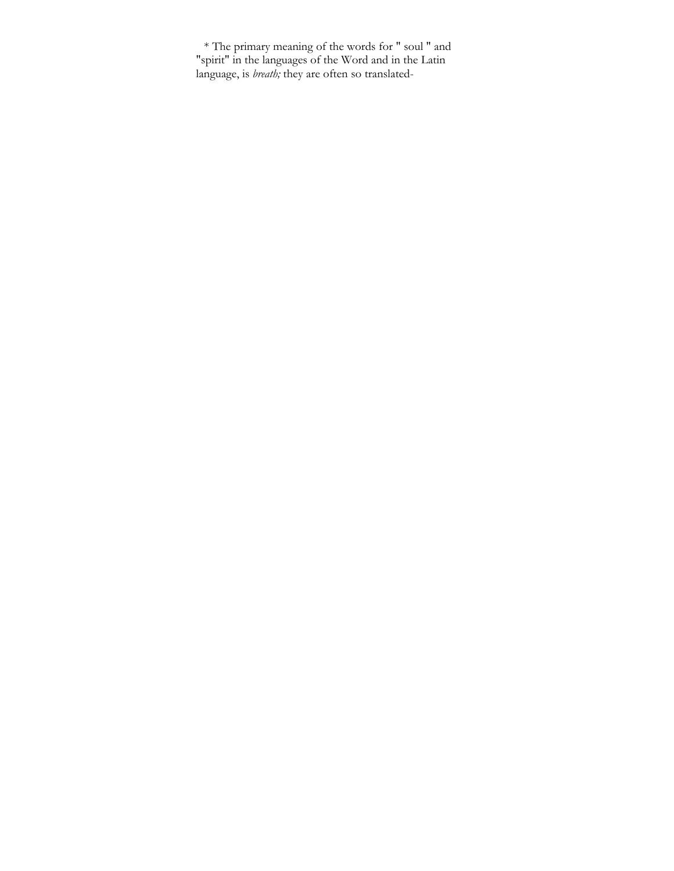\* The primary meaning of the words for " soul " and "spirit" in the languages of the Word and in the Latin language, is *breath;* they are often so translated-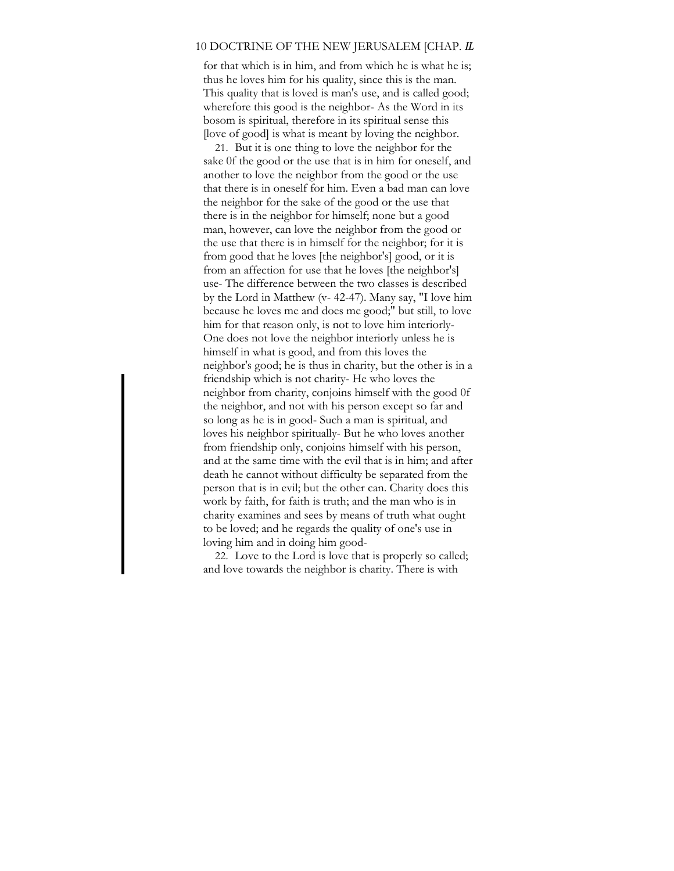#### 10 DOCTRINE OF THE NEW JERUSALEM [CHAP. **IL**

for that which is in him, and from which he is what he is; thus he loves him for his quality, since this is the man. This quality that is loved is man's use, and is called good; wherefore this good is the neighbor- As the Word in its bosom is spiritual, therefore in its spiritual sense this [love of good] is what is meant by loving the neighbor.

21. But it is one thing to love the neighbor for the sake 0f the good or the use that is in him for oneself, and another to love the neighbor from the good or the use that there is in oneself for him. Even a bad man can love the neighbor for the sake of the good or the use that there is in the neighbor for himself; none but a good man, however, can love the neighbor from the good or the use that there is in himself for the neighbor; for it is from good that he loves [the neighbor's] good, or it is from an affection for use that he loves [the neighbor's] use- The difference between the two classes is described by the Lord in Matthew (v- 42-47). Many say, "I love him because he loves me and does me good;" but still, to love him for that reason only, is not to love him interiorly-One does not love the neighbor interiorly unless he is himself in what is good, and from this loves the neighbor's good; he is thus in charity, but the other is in a friendship which is not charity- He who loves the neighbor from charity, conjoins himself with the good 0f the neighbor, and not with his person except so far and so long as he is in good- Such a man is spiritual, and loves his neighbor spiritually- But he who loves another from friendship only, conjoins himself with his person, and at the same time with the evil that is in him; and after death he cannot without difficulty be separated from the person that is in evil; but the other can. Charity does this work by faith, for faith is truth; and the man who is in charity examines and sees by means of truth what ought to be loved; and he regards the quality of one's use in loving him and in doing him good-

22. Love to the Lord is love that is properly so called; and love towards the neighbor is charity. There is with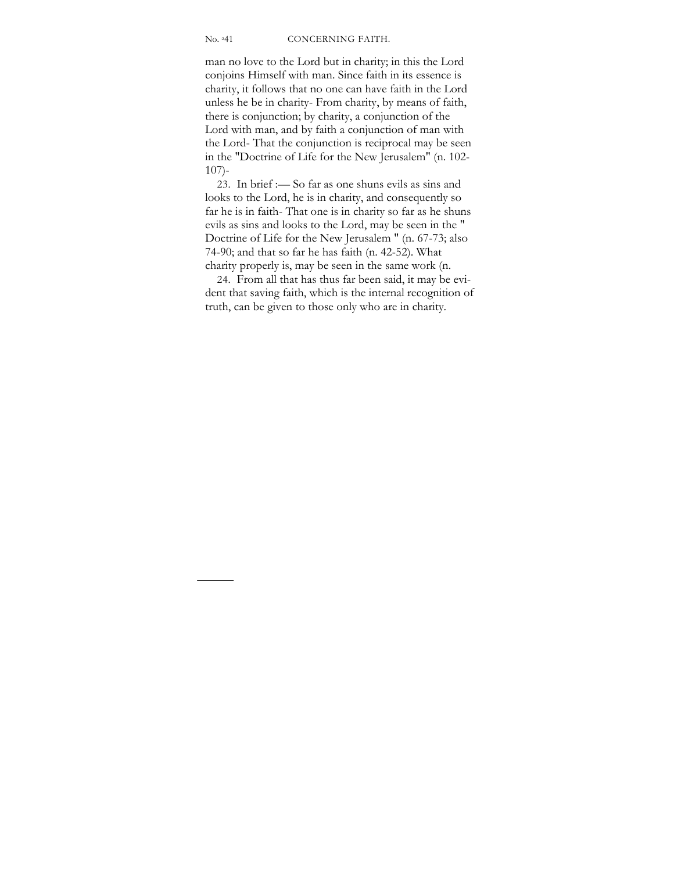### No. 241 CONCERNING FAITH.

man no love to the Lord but in charity; in this the Lord conjoins Himself with man. Since faith in its essence is charity, it follows that no one can have faith in the Lord unless he be in charity- From charity, by means of faith, there is conjunction; by charity, a conjunction of the Lord with man, and by faith a conjunction of man with the Lord- That the conjunction is reciprocal may be seen in the "Doctrine of Life for the New Jerusalem" (n. 102- 107)-

23. In brief :— So far as one shuns evils as sins and looks to the Lord, he is in charity, and consequently so far he is in faith- That one is in charity so far as he shuns evils as sins and looks to the Lord, may be seen in the " Doctrine of Life for the New Jerusalem " (n. 67-73; also 74-90; and that so far he has faith (n. 42-52). What charity properly is, may be seen in the same work (n.

24. From all that has thus far been said, it may be evident that saving faith, which is the internal recognition of truth, can be given to those only who are in charity.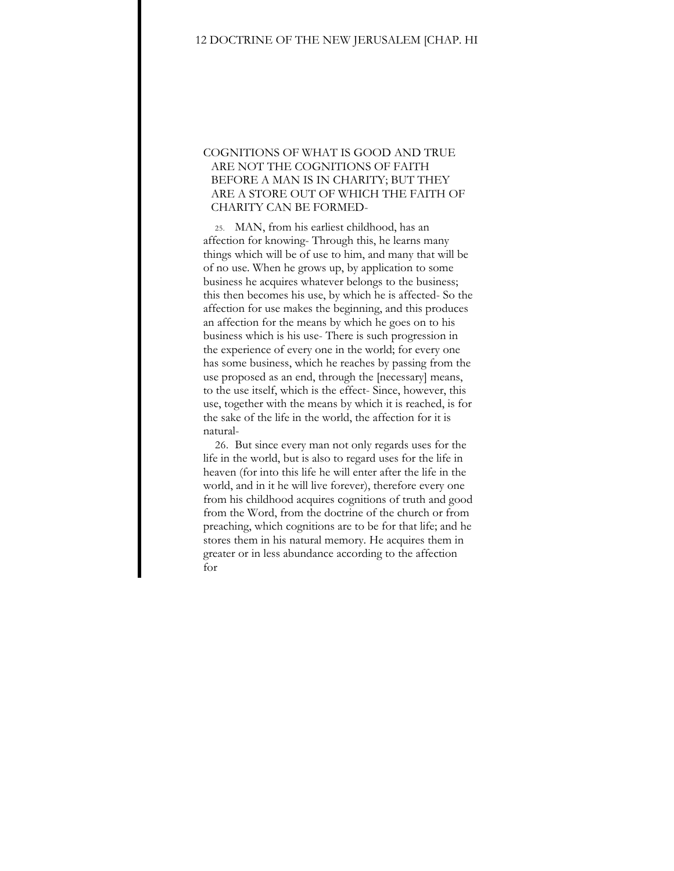# COGNITIONS OF WHAT IS GOOD AND TRUE ARE NOT THE COGNITIONS OF FAITH BEFORE A MAN IS IN CHARITY; BUT THEY ARE A STORE OUT OF WHICH THE FAITH OF CHARITY CAN BE FORMED-

25. MAN, from his earliest childhood, has an affection for knowing- Through this, he learns many things which will be of use to him, and many that will be of no use. When he grows up, by application to some business he acquires whatever belongs to the business; this then becomes his use, by which he is affected- So the affection for use makes the beginning, and this produces an affection for the means by which he goes on to his business which is his use- There is such progression in the experience of every one in the world; for every one has some business, which he reaches by passing from the use proposed as an end, through the [necessary] means, to the use itself, which is the effect- Since, however, this use, together with the means by which it is reached, is for the sake of the life in the world, the affection for it is natural-

26. But since every man not only regards uses for the life in the world, but is also to regard uses for the life in heaven (for into this life he will enter after the life in the world, and in it he will live forever), therefore every one from his childhood acquires cognitions of truth and good from the Word, from the doctrine of the church or from preaching, which cognitions are to be for that life; and he stores them in his natural memory. He acquires them in greater or in less abundance according to the affection for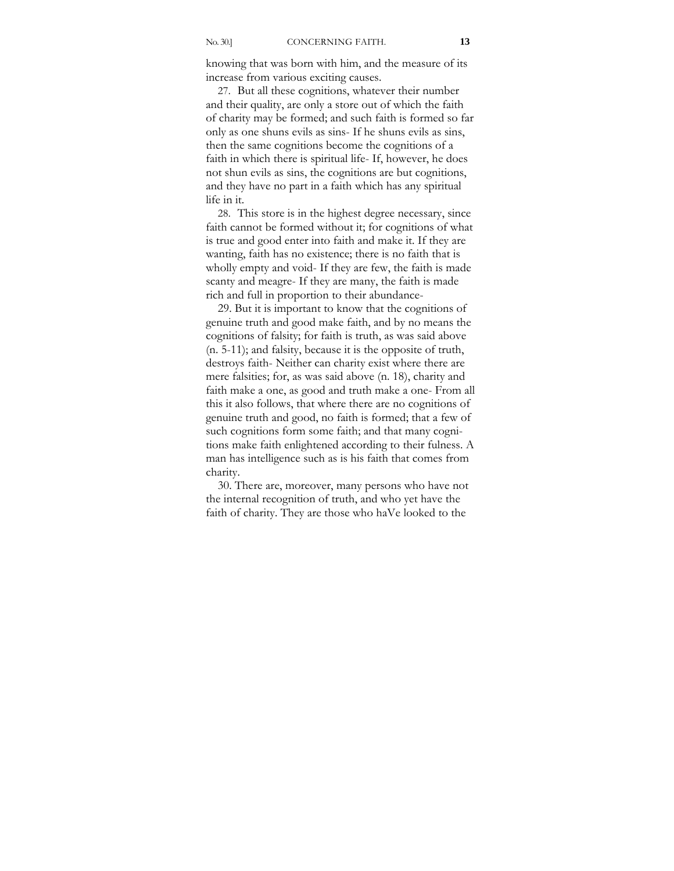knowing that was born with him, and the measure of its increase from various exciting causes.

27. But all these cognitions, whatever their number and their quality, are only a store out of which the faith of charity may be formed; and such faith is formed so far only as one shuns evils as sins- If he shuns evils as sins, then the same cognitions become the cognitions of a faith in which there is spiritual life- If, however, he does not shun evils as sins, the cognitions are but cognitions, and they have no part in a faith which has any spiritual life in it.

28. This store is in the highest degree necessary, since faith cannot be formed without it; for cognitions of what is true and good enter into faith and make it. If they are wanting, faith has no existence; there is no faith that is wholly empty and void- If they are few, the faith is made scanty and meagre- If they are many, the faith is made rich and full in proportion to their abundance-

29. But it is important to know that the cognitions of genuine truth and good make faith, and by no means the cognitions of falsity; for faith is truth, as was said above (n. 5-11); and falsity, because it is the opposite of truth, destroys faith- Neither can charity exist where there are mere falsities; for, as was said above (n. 18), charity and faith make a one, as good and truth make a one- From all this it also follows, that where there are no cognitions of genuine truth and good, no faith is formed; that a few of such cognitions form some faith; and that many cognitions make faith enlightened according to their fulness. A man has intelligence such as is his faith that comes from charity.

30. There are, moreover, many persons who have not the internal recognition of truth, and who yet have the faith of charity. They are those who haVe looked to the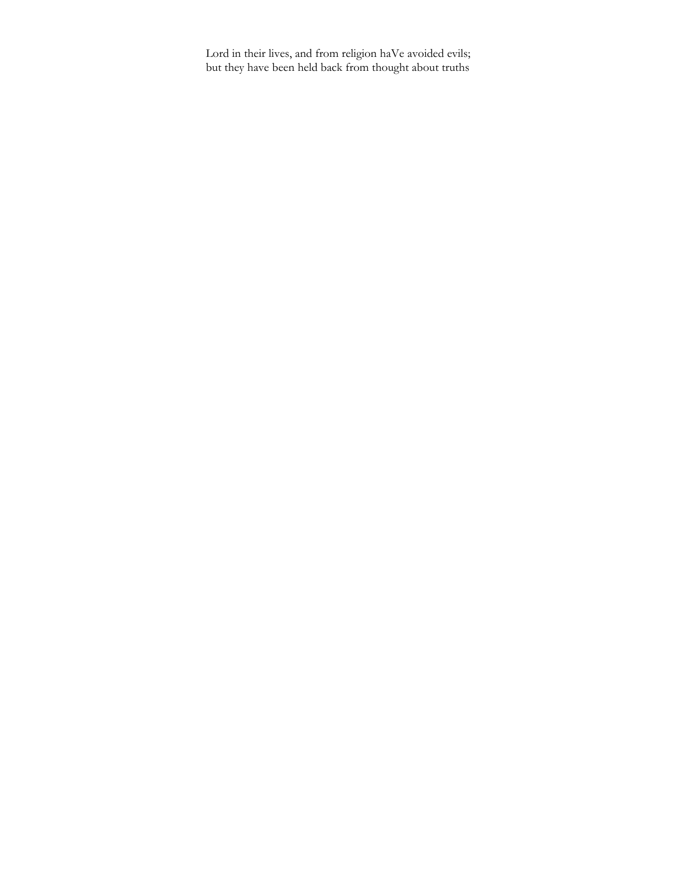Lord in their lives, and from religion haVe avoided evils; but they have been held back from thought about truths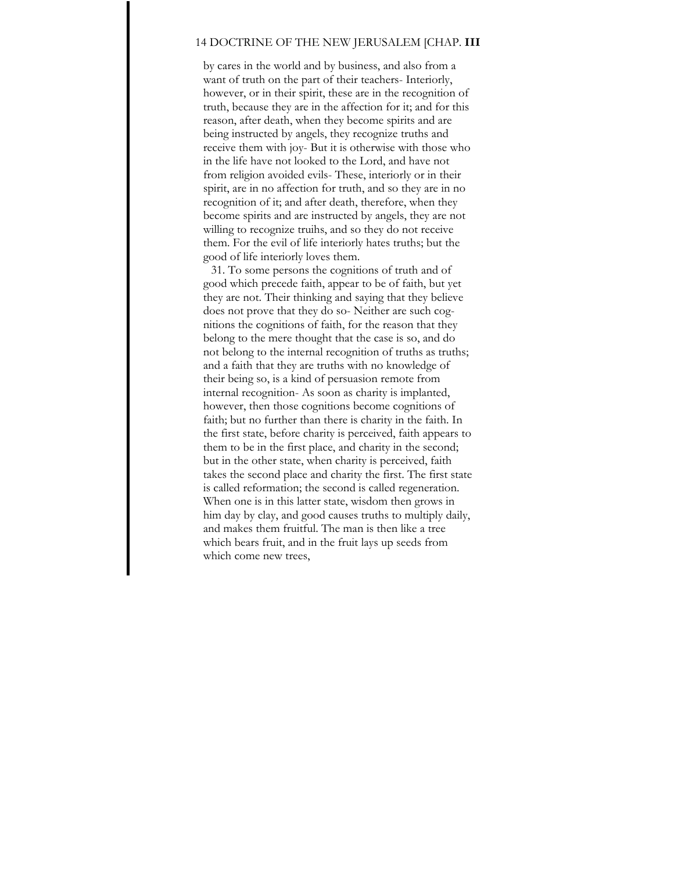# 14 DOCTRINE OF THE NEW JERUSALEM [CHAP. **III**

by cares in the world and by business, and also from a want of truth on the part of their teachers- Interiorly, however, or in their spirit, these are in the recognition of truth, because they are in the affection for it; and for this reason, after death, when they become spirits and are being instructed by angels, they recognize truths and receive them with joy- But it is otherwise with those who in the life have not looked to the Lord, and have not from religion avoided evils- These, interiorly or in their spirit, are in no affection for truth, and so they are in no recognition of it; and after death, therefore, when they become spirits and are instructed by angels, they are not willing to recognize truihs, and so they do not receive them. For the evil of life interiorly hates truths; but the good of life interiorly loves them.

31. To some persons the cognitions of truth and of good which precede faith, appear to be of faith, but yet they are not. Their thinking and saying that they believe does not prove that they do so- Neither are such cognitions the cognitions of faith, for the reason that they belong to the mere thought that the case is so, and do not belong to the internal recognition of truths as truths; and a faith that they are truths with no knowledge of their being so, is a kind of persuasion remote from internal recognition- As soon as charity is implanted, however, then those cognitions become cognitions of faith; but no further than there is charity in the faith. In the first state, before charity is perceived, faith appears to them to be in the first place, and charity in the second; but in the other state, when charity is perceived, faith takes the second place and charity the first. The first state is called reformation; the second is called regeneration. When one is in this latter state, wisdom then grows in him day by clay, and good causes truths to multiply daily, and makes them fruitful. The man is then like a tree which bears fruit, and in the fruit lays up seeds from which come new trees,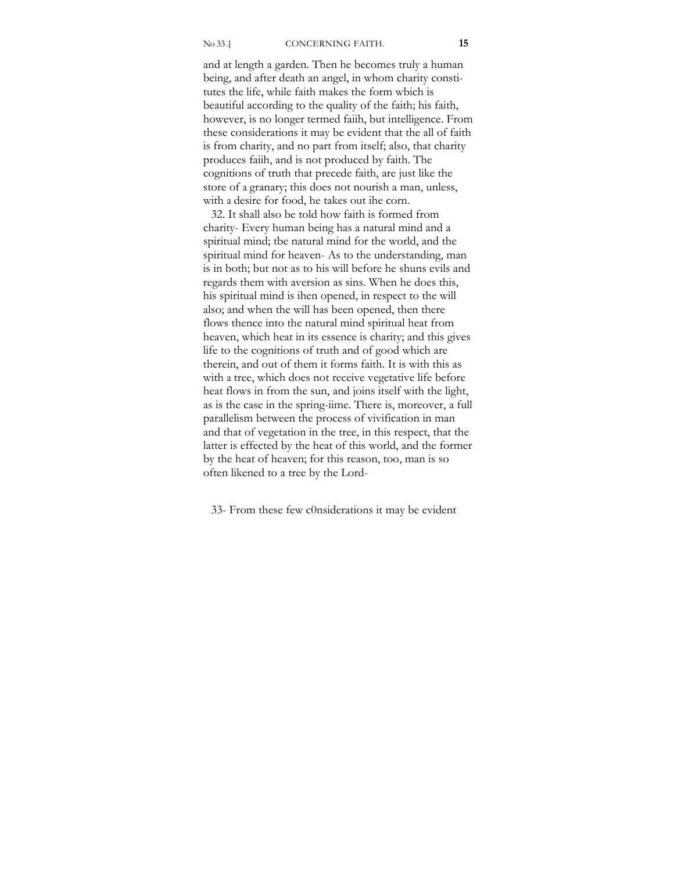and at length a garden. Then he becomes truly a human being, and after death an angel, in whom charity constitutes the life, while faith makes the form wbich is beautiful according to the quality of the faith; his faith, however, is no longer termed faiih, but intelligence. From these considerations it may be evident that the all of faith is from charity, and no part from itself; also, that charity produces faiih, and is not produced by faith. The cognitions of truth that precede faith, are just like the store of a granary; this does not nourish a man, unless, with a desire for food, he takes out ihe corn.

32. It shall also be told how faith is formed from charity- Every human being has a natural mind and a spiritual mind; tbe natural mind for the world, and the spiritual mind for heaven- As to the understanding, man is in both; but not as to his will before he shuns evils and regards them with aversion as sins. When he does this, his spiritual mind is ihen opened, in respect to the will also; and when the will has been opened, then there flows thence into the natural mind spiritual heat from heaven, which heat in its essence is charity; and this gives life to the cognitions of truth and of good which are therein, and out of them it forms faith. It is with this as with a tree, which does not receive vegetative life before heat flows in from the sun, and joins itself with the light, as is the case in the spring-iime. There is, moreover, a full parallelism between the process of vivification in man and that of vegetation in the tree, in this respect, that the latter is effected by the heat of this world, and the former by the heat of heaven; for this reason, too, man is so often likened to a tree by the Lord-

33- From these few c0nsiderations it may be evident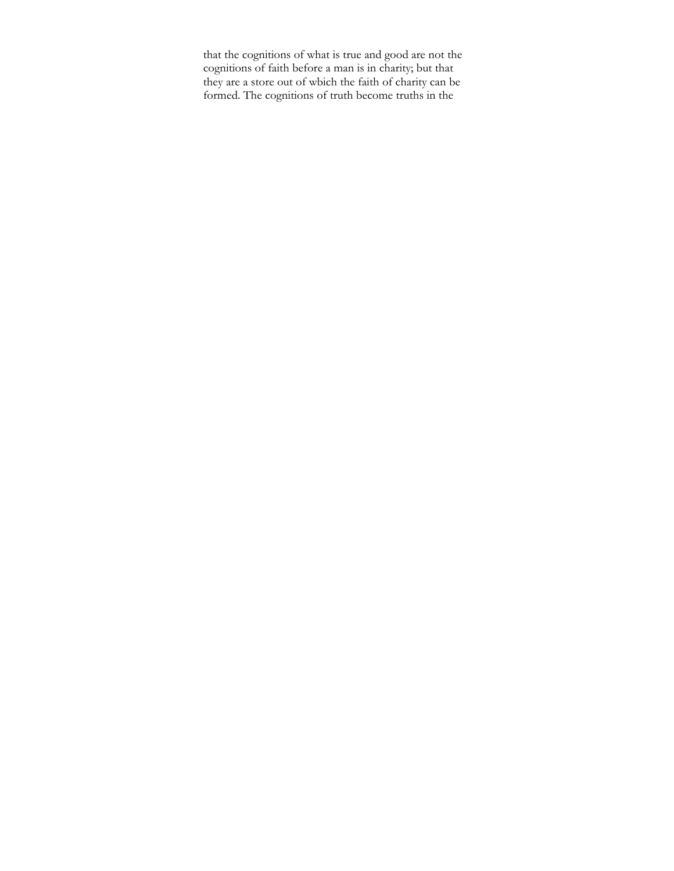that the cognitions of what is true and good are not the cognitions of faith before a man is in charity; but that they are a store out of wbich the faith of charity can be formed. The cognitions of truth become truths in the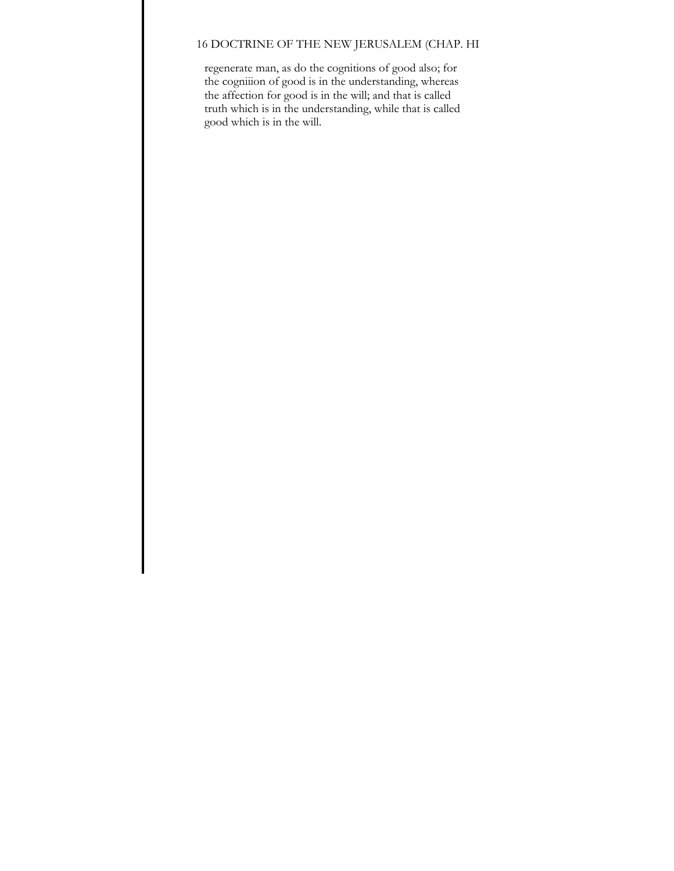# 16 DOCTRINE OF THE NEW JERUSALEM (CHAP. HI

regenerate man, as do the cognitions of good also; for the cogniiion of good is in the understanding, whereas the affection for good is in the will; and that is called truth which is in the understanding, while that is called good which is in the will.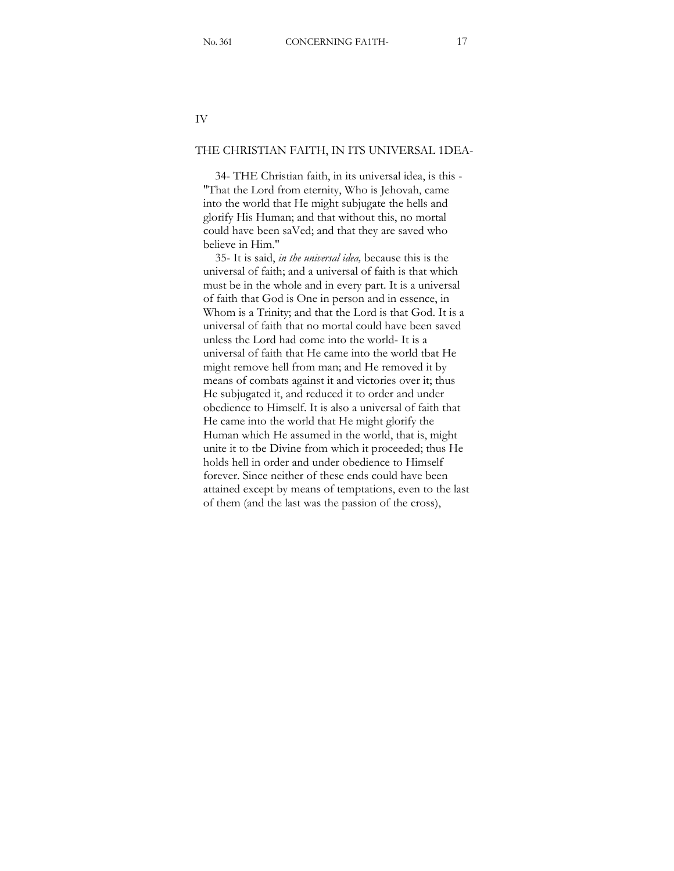# IV

### THE CHRISTIAN FAITH, IN ITS UNIVERSAL 1DEA-

34- THE Christian faith, in its universal idea, is this - "That the Lord from eternity, Who is Jehovah, came into the world that He might subjugate the hells and glorify His Human; and that without this, no mortal could have been saVed; and that they are saved who believe in Him."

35- It is said, *in the universal idea,* because this is the universal of faith; and a universal of faith is that which must be in the whole and in every part. It is a universal of faith that God is One in person and in essence, in Whom is a Trinity; and that the Lord is that God. It is a universal of faith that no mortal could have been saved unless the Lord had come into the world- It is a universal of faith that He came into the world tbat He might remove hell from man; and He removed it by means of combats against it and victories over it; thus He subjugated it, and reduced it to order and under obedience to Himself. It is also a universal of faith that He came into the world that He might glorify the Human which He assumed in the world, that is, might unite it to tbe Divine from which it proceeded; thus He holds hell in order and under obedience to Himself forever. Since neither of these ends could have been attained except by means of temptations, even to the last of them (and the last was the passion of the cross),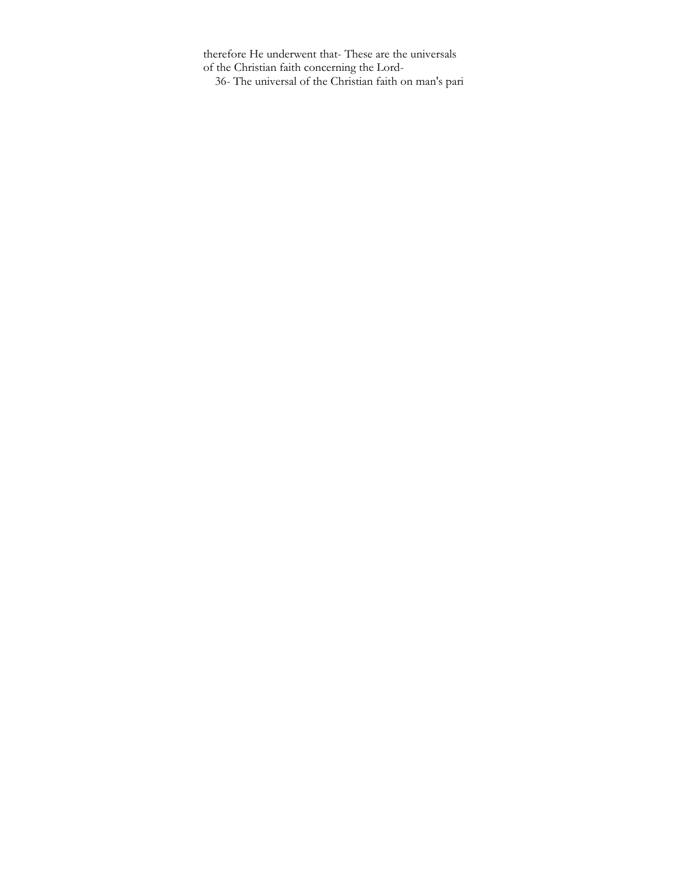therefore He underwent that- These are the universals of the Christian faith concerning the Lord-36- The universal of the Christian faith on man's pari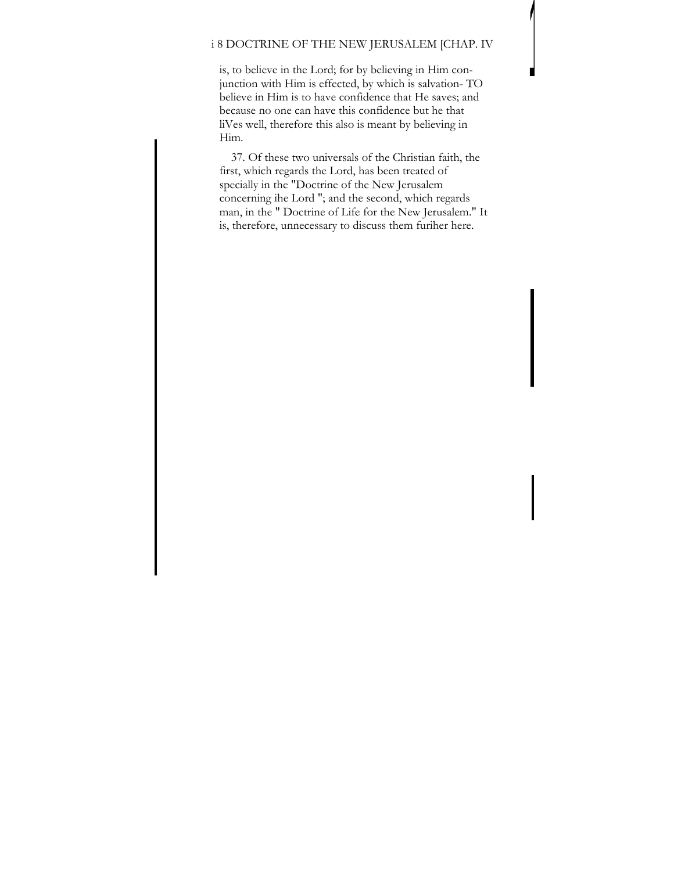# i 8 DOCTRINE OF THE NEW JERUSALEM [CHAP. IV

1

is, to believe in the Lord; for by believing in Him conjunction with Him is effected, by which is salvation- TO believe in Him is to have confidence that He saves; and because no one can have this confidence but he that liVes well, therefore this also is meant by believing in Him.

37. Of these two universals of the Christian faith, the first, which regards the Lord, has been treated of specially in the "Doctrine of the New Jerusalem concerning ihe Lord "; and the second, which regards man, in the " Doctrine of Life for the New Jerusalem." It is, therefore, unnecessary to discuss them furiher here.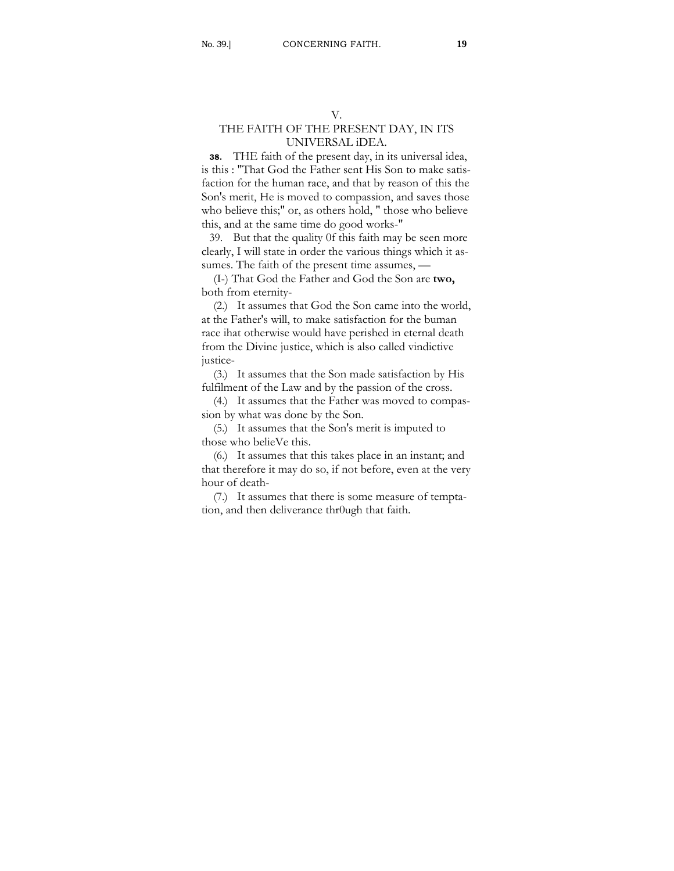#### V.

### THE FAITH OF THE PRESENT DAY, IN ITS UNIVERSAL iDEA.

**38.** THE faith of the present day, in its universal idea, is this : "That God the Father sent His Son to make satisfaction for the human race, and that by reason of this the Son's merit, He is moved to compassion, and saves those who believe this;" or, as others hold, " those who believe this, and at the same time do good works-"

39. But that the quality 0f this faith may be seen more clearly, I will state in order the various things which it assumes. The faith of the present time assumes, —

(I-) That God the Father and God the Son are **two,**  both from eternity-

(2.) It assumes that God the Son came into the world, at the Father's will, to make satisfaction for the buman race ihat otherwise would have perished in eternal death from the Divine justice, which is also called vindictive justice-

(3.) It assumes that the Son made satisfaction by His fulfilment of the Law and by the passion of the cross.

(4.) It assumes that the Father was moved to compassion by what was done by the Son.

(5.) It assumes that the Son's merit is imputed to those who belieVe this.

(6.) It assumes that this takes place in an instant; and that therefore it may do so, if not before, even at the very hour of death-

(7.) It assumes that there is some measure of temptation, and then deliverance thr0ugh that faith.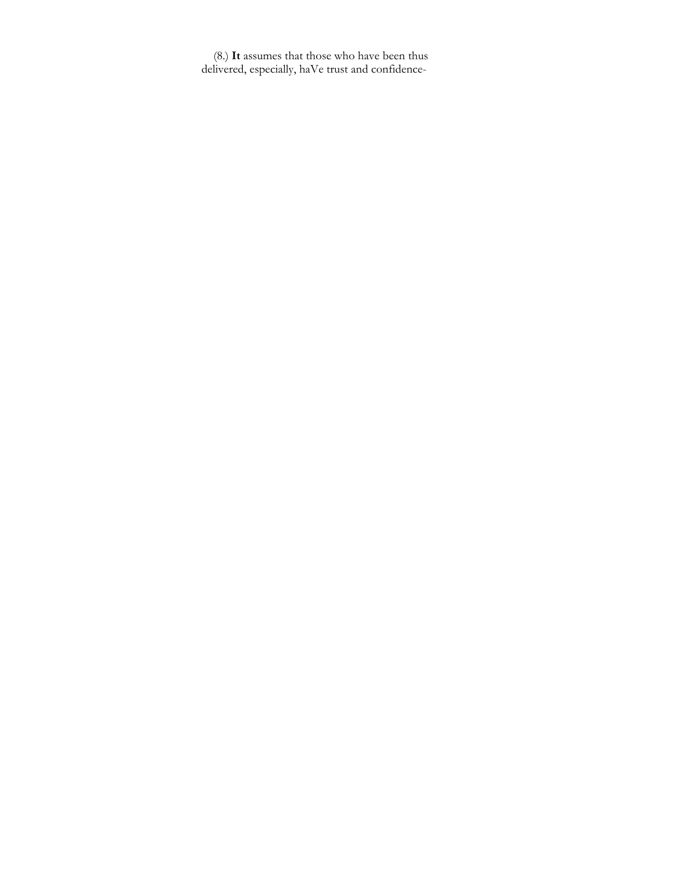(8.) **It** assumes that those who have been thus delivered, especially, haVe trust and confidence-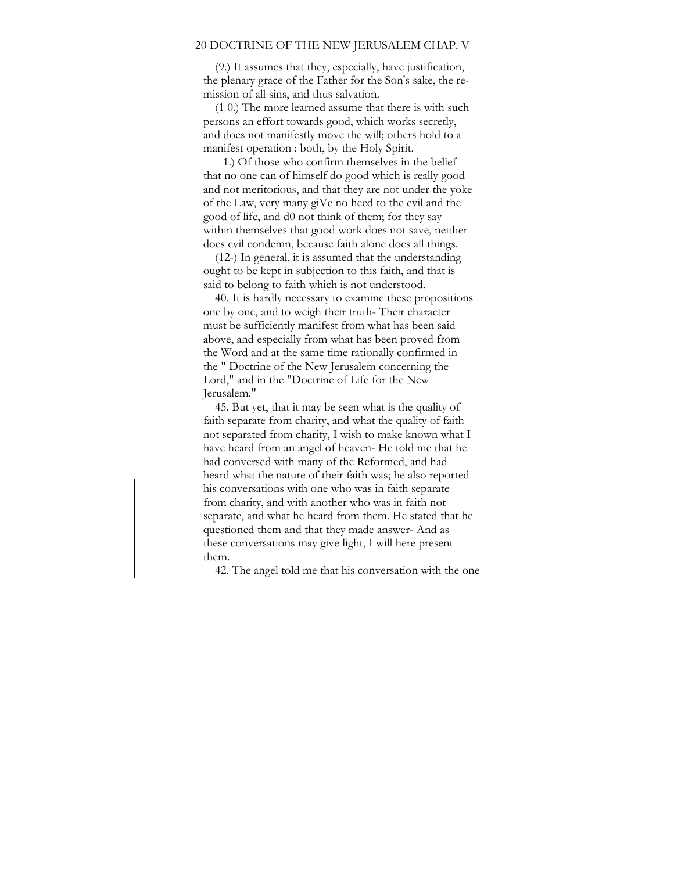### 20 DOCTRINE OF THE NEW JERUSALEM CHAP. V

(9.) It assumes that they, especially, have justification, the plenary grace of the Father for the Son's sake, the remission of all sins, and thus salvation.

(1 0.) The more learned assume that there is with such persons an effort towards good, which works secretly, and does not manifestly move the will; others hold to a manifest operation : both, by the Holy Spirit.

1.) Of those who confirm themselves in the belief that no one can of himself do good which is really good and not meritorious, and that they are not under the yoke of the Law, very many giVe no heed to the evil and the good of life, and d0 not think of them; for they say within themselves that good work does not save, neither does evil condemn, because faith alone does all things.

(12-) In general, it is assumed that the understanding ought to be kept in subjection to this faith, and that is said to belong to faith which is not understood.

40. It is hardly necessary to examine these propositions one by one, and to weigh their truth- Their character must be sufficiently manifest from what has been said above, and especially from what has been proved from the Word and at the same time rationally confirmed in the " Doctrine of the New Jerusalem concerning the Lord," and in the "Doctrine of Life for the New Jerusalem."

45. But yet, that it may be seen what is the quality of faith separate from charity, and what the quality of faith not separated from charity, I wish to make known what I have heard from an angel of heaven- He told me that he had conversed with many of the Reformed, and had heard what the nature of their faith was; he also reported his conversations with one who was in faith separate from charity, and with another who was in faith not separate, and what he heard from them. He stated that he questioned them and that they made answer- And as these conversations may give light, I will here present them.

42. The angel told me that his conversation with the one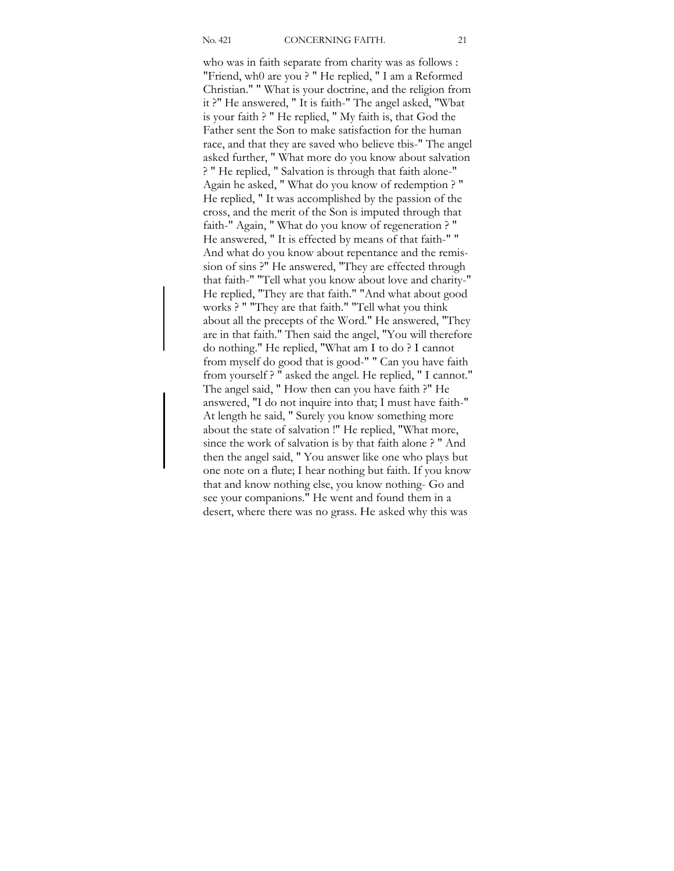who was in faith separate from charity was as follows : "Friend, wh0 are you ? " He replied, " I am a Reformed Christian." " What is your doctrine, and the religion from it ?" He answered, " It is faith-" The angel asked, "Wbat is your faith ? " He replied, " My faith is, that God the Father sent the Son to make satisfaction for the human race, and that they are saved who believe tbis-" The angel asked further, " What more do you know about salvation ? " He replied, " Salvation is through that faith alone-" Again he asked, " What do you know of redemption ? " He replied, " It was accomplished by the passion of the cross, and the merit of the Son is imputed through that faith-" Again, " What do you know of regeneration ? " He answered, " It is effected by means of that faith-" " And what do you know about repentance and the remission of sins ?" He answered, "They are effected through that faith-" "Tell what you know about love and charity-" He replied, "They are that faith." "And what about good works ? " "They are that faith." "Tell what you think about all the precepts of the Word." He answered, "They are in that faith." Then said the angel, "You will therefore do nothing." He replied, "What am I to do ? I cannot from myself do good that is good-" " Can you have faith from yourself ? " asked the angel. He replied, " I cannot." The angel said, " How then can you have faith ?" He answered, "I do not inquire into that; I must have faith-" At length he said, " Surely you know something more about the state of salvation !" He replied, "What more, since the work of salvation is by that faith alone ? " And then the angel said, " You answer like one who plays but one note on a flute; I hear nothing but faith. If you know that and know nothing else, you know nothing- Go and see your companions." He went and found them in a desert, where there was no grass. He asked why this was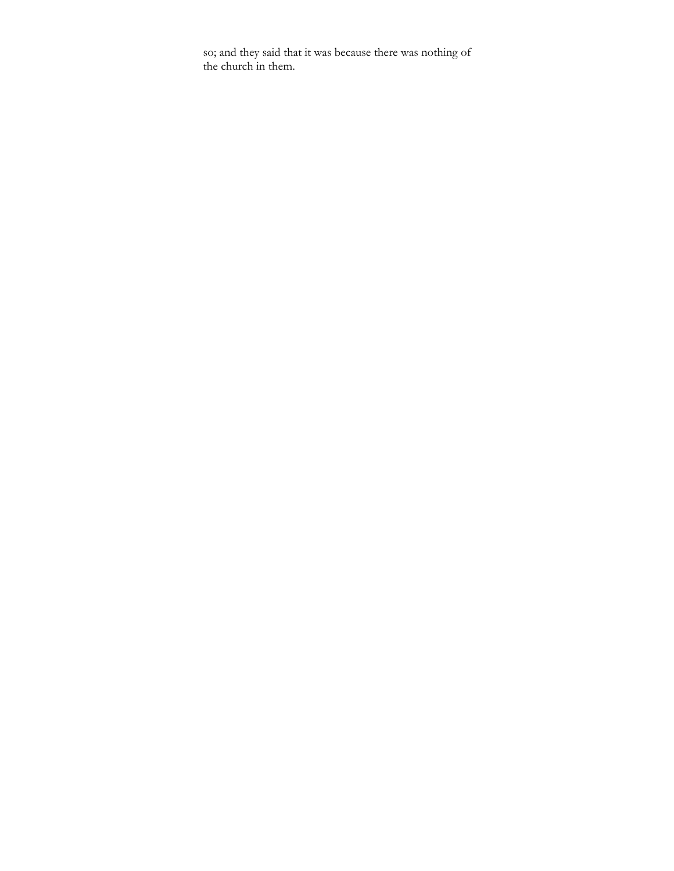so; and they said that it was because there was nothing of the church in them.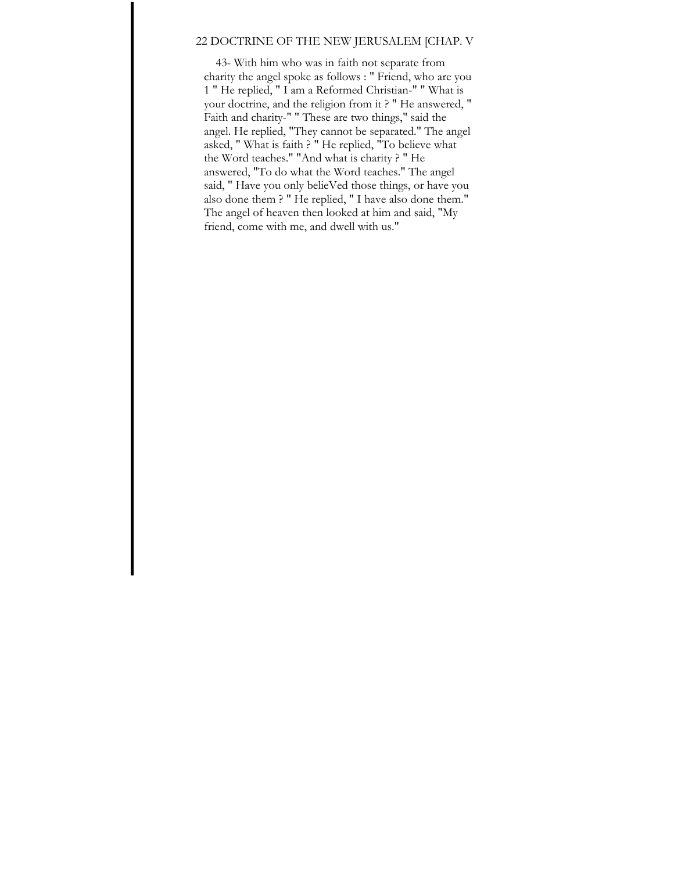# 22 DOCTRINE OF THE NEW JERUSALEM [CHAP. V

43- With him who was in faith not separate from charity the angel spoke as follows : " Friend, who are you 1 " He replied, " I am a Reformed Christian-" " What is your doctrine, and the religion from it ? " He answered, " Faith and charity-" " These are two things," said the angel. He replied, "They cannot be separated." The angel asked, " What is faith ? " He replied, "To believe what the Word teaches." "And what is charity ? " He answered, "To do what the Word teaches." The angel said, " Have you only belieVed those things, or have you also done them ? " He replied, " I have also done them." The angel of heaven then looked at him and said, "My friend, come with me, and dwell with us."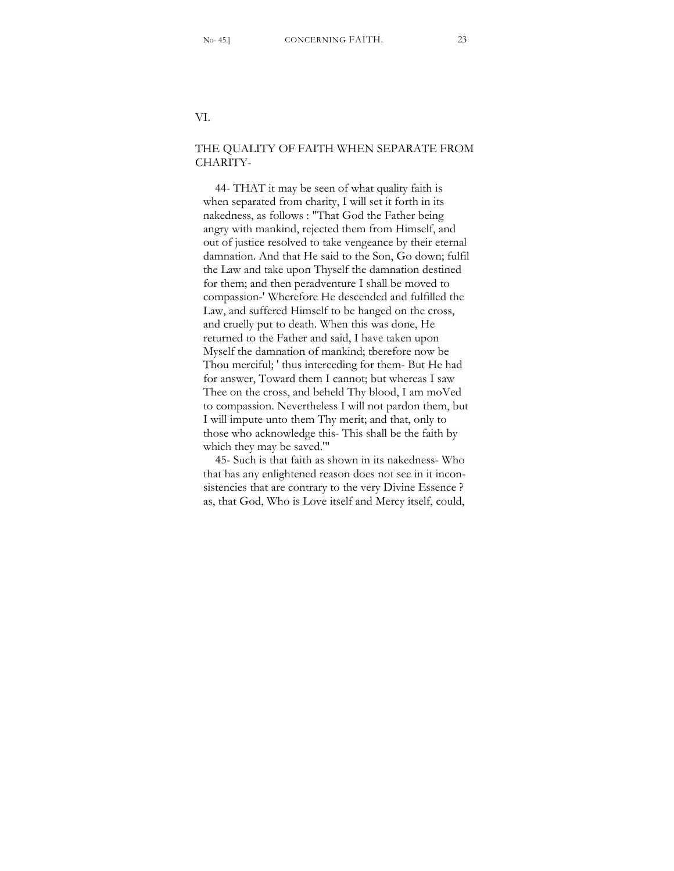### VI.

# THE QUALITY OF FAITH WHEN SEPARATE FROM CHARITY-

44- THAT it may be seen of what quality faith is when separated from charity, I will set it forth in its nakedness, as follows : "That God the Father being angry with mankind, rejected them from Himself, and out of justice resolved to take vengeance by their eternal damnation. And that He said to the Son, Go down; fulfil the Law and take upon Thyself the damnation destined for them; and then peradventure I shall be moved to compassion-' Wherefore He descended and fulfilled the Law, and suffered Himself to be hanged on the cross, and cruelly put to death. When this was done, He returned to the Father and said, I have taken upon Myself the damnation of mankind; tberefore now be Thou merciful; ' thus interceding for them- But He had for answer, Toward them I cannot; but whereas I saw Thee on the cross, and beheld Thy blood, I am moVed to compassion. Nevertheless I will not pardon them, but I will impute unto them Thy merit; and that, only to those who acknowledge this- This shall be the faith by which they may be saved.'"

45- Such is that faith as shown in its nakedness- Who that has any enlightened reason does not see in it inconsistencies that are contrary to the very Divine Essence ? as, that God, Who is Love itself and Mercy itself, could,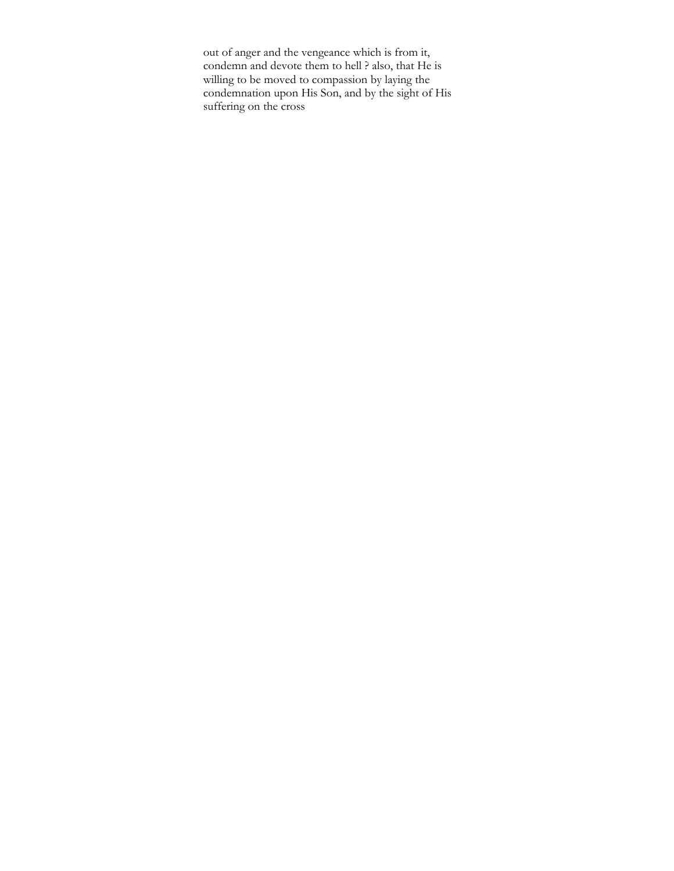out of anger and the vengeance which is from it, condemn and devote them to hell ? also, that He is willing to be moved to compassion by laying the condemnation upon His Son, and by the sight of His suffering on the cross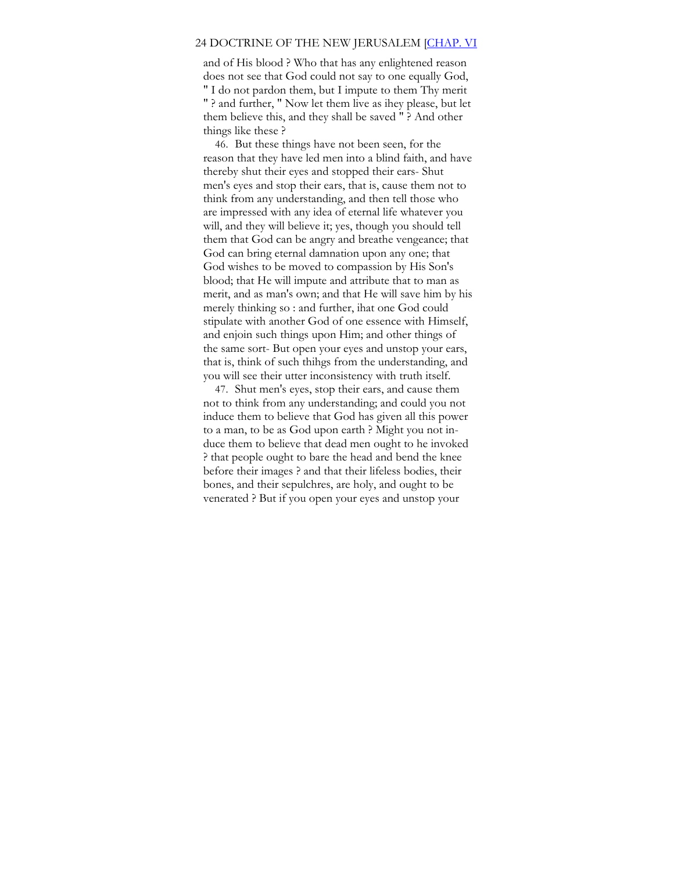#### 24 DOCTRINE OF THE NEW JERUSALEM [\[CHAP. VI](http://chap.vi/)

and of His blood ? Who that has any enlightened reason does not see that God could not say to one equally God, " I do not pardon them, but I impute to them Thy merit " ? and further, " Now let them live as ihey please, but let them believe this, and they shall be saved " ? And other things like these ?

46. But these things have not been seen, for the reason that they have led men into a blind faith, and have thereby shut their eyes and stopped their ears- Shut men's eyes and stop their ears, that is, cause them not to think from any understanding, and then tell those who are impressed with any idea of eternal life whatever you will, and they will believe it; yes, though you should tell them that God can be angry and breathe vengeance; that God can bring eternal damnation upon any one; that God wishes to be moved to compassion by His Son's blood; that He will impute and attribute that to man as merit, and as man's own; and that He will save him by his merely thinking so : and further, ihat one God could stipulate with another God of one essence with Himself, and enjoin such things upon Him; and other things of the same sort- But open your eyes and unstop your ears, that is, think of such thihgs from the understanding, and you will see their utter inconsistency with truth itself.

47. Shut men's eyes, stop their ears, and cause them not to think from any understanding; and could you not induce them to believe that God has given all this power to a man, to be as God upon earth ? Might you not induce them to believe that dead men ought to he invoked ? that people ought to bare the head and bend the knee before their images ? and that their lifeless bodies, their bones, and their sepulchres, are holy, and ought to be venerated ? But if you open your eyes and unstop your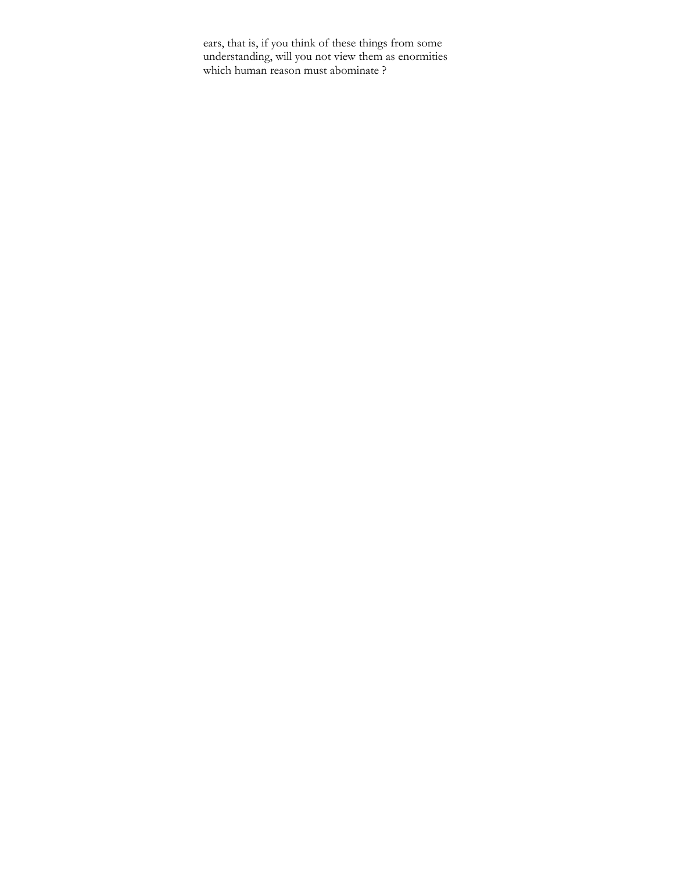ears, that is, if you think of these things from some understanding, will you not view them as enormities which human reason must abominate ?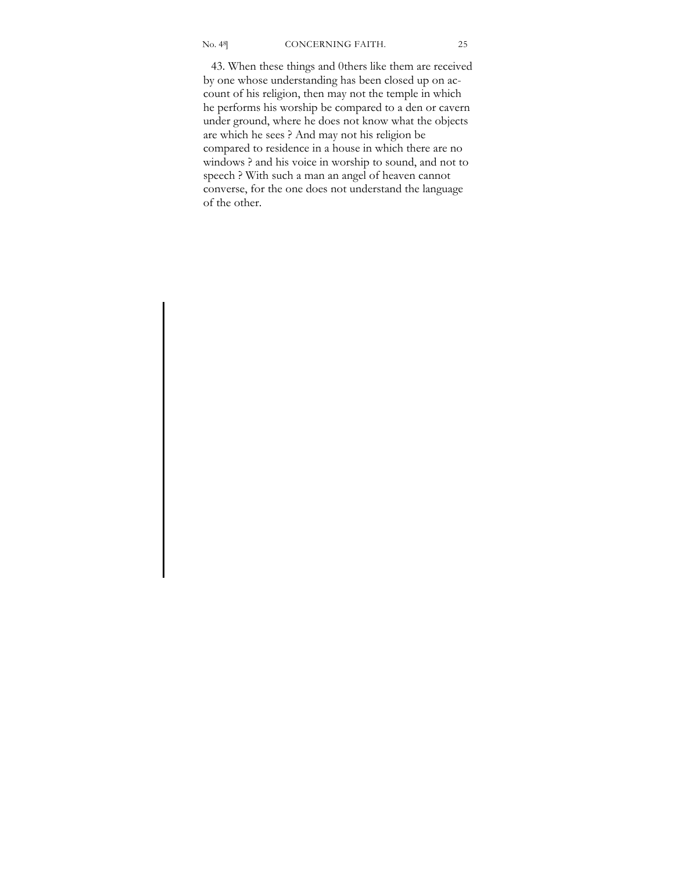43. When these things and 0thers like them are received by one whose understanding has been closed up on account of his religion, then may not the temple in which he performs his worship be compared to a den or cavern under ground, where he does not know what the objects are which he sees ? And may not his religion be compared to residence in a house in which there are no windows ? and his voice in worship to sound, and not to speech ? With such a man an angel of heaven cannot converse, for the one does not understand the language of the other.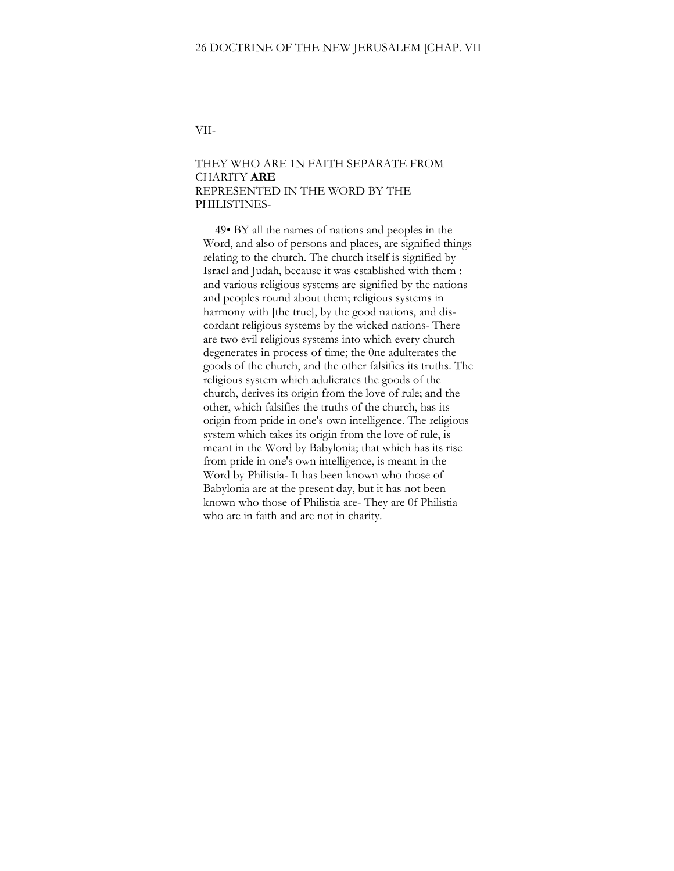#### VII-

# THEY WHO ARE 1N FAITH SEPARATE FROM CHARITY **ARE**  REPRESENTED IN THE WORD BY THE PHILISTINES-

49• BY all the names of nations and peoples in the Word, and also of persons and places, are signified things relating to the church. The church itself is signified by Israel and Judah, because it was established with them : and various religious systems are signified by the nations and peoples round about them; religious systems in harmony with [the true], by the good nations, and discordant religious systems by the wicked nations- There are two evil religious systems into which every church degenerates in process of time; the 0ne adulterates the goods of the church, and the other falsifies its truths. The religious system which adulierates the goods of the church, derives its origin from the love of rule; and the other, which falsifies the truths of the church, has its origin from pride in one's own intelligence. The religious system which takes its origin from the love of rule, is meant in the Word by Babylonia; that which has its rise from pride in one's own intelligence, is meant in the Word by Philistia- It has been known who those of Babylonia are at the present day, but it has not been known who those of Philistia are- They are 0f Philistia who are in faith and are not in charity.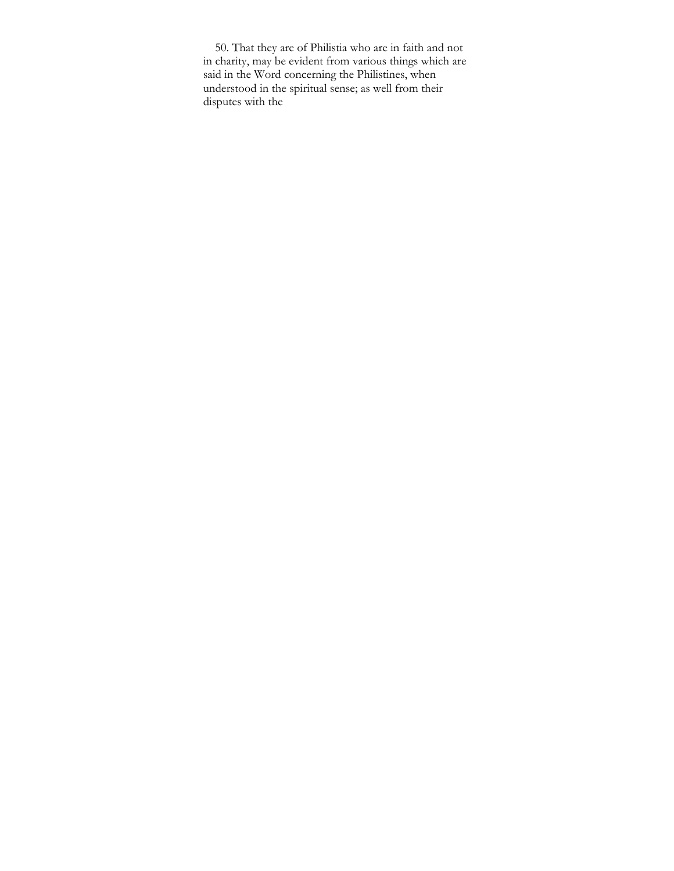50. That they are of Philistia who are in faith and not in charity, may be evident from various things which are said in the Word concerning the Philistines, when understood in the spiritual sense; as well from their disputes with the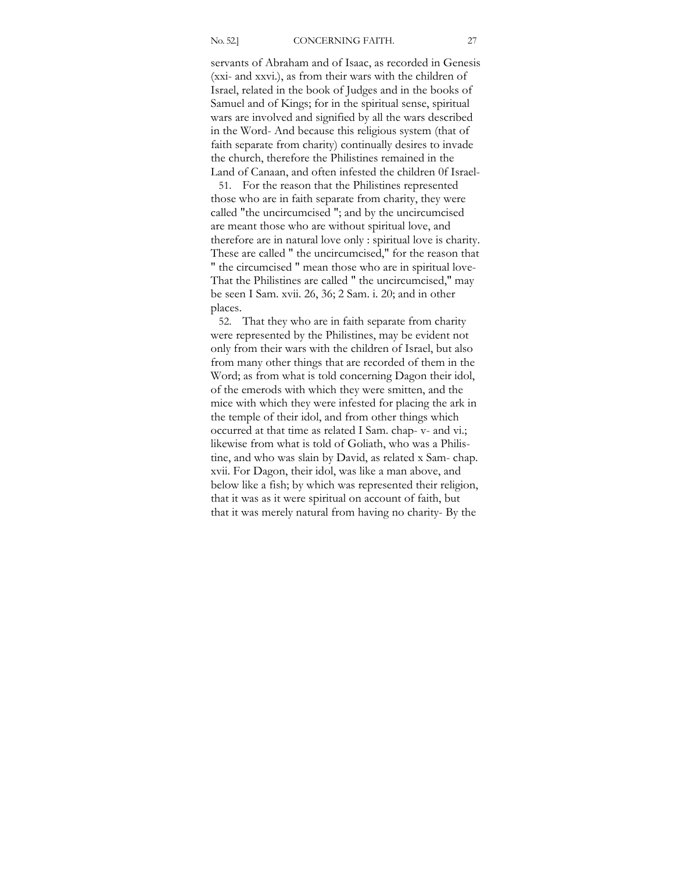servants of Abraham and of Isaac, as recorded in Genesis (xxi- and xxvi.), as from their wars with the children of Israel, related in the book of Judges and in the books of Samuel and of Kings; for in the spiritual sense, spiritual wars are involved and signified by all the wars described in the Word- And because this religious system (that of faith separate from charity) continually desires to invade the church, therefore the Philistines remained in the Land of Canaan, and often infested the children 0f Israel-

51. For the reason that the Philistines represented those who are in faith separate from charity, they were called "the uncircumcised "; and by the uncircumcised are meant those who are without spiritual love, and therefore are in natural love only : spiritual love is charity. These are called " the uncircumcised," for the reason that " the circumcised " mean those who are in spiritual love-That the Philistines are called " the uncircumcised," may be seen I Sam. xvii. 26, 36; 2 Sam. i. 20; and in other places.

52. That they who are in faith separate from charity were represented by the Philistines, may be evident not only from their wars with the children of Israel, but also from many other things that are recorded of them in the Word; as from what is told concerning Dagon their idol, of the emerods with which they were smitten, and the mice with which they were infested for placing the ark in the temple of their idol, and from other things which occurred at that time as related I Sam. chap- v- and vi.; likewise from what is told of Goliath, who was a Philistine, and who was slain by David, as related x Sam- chap. xvii. For Dagon, their idol, was like a man above, and below like a fish; by which was represented their religion, that it was as it were spiritual on account of faith, but that it was merely natural from having no charity- By the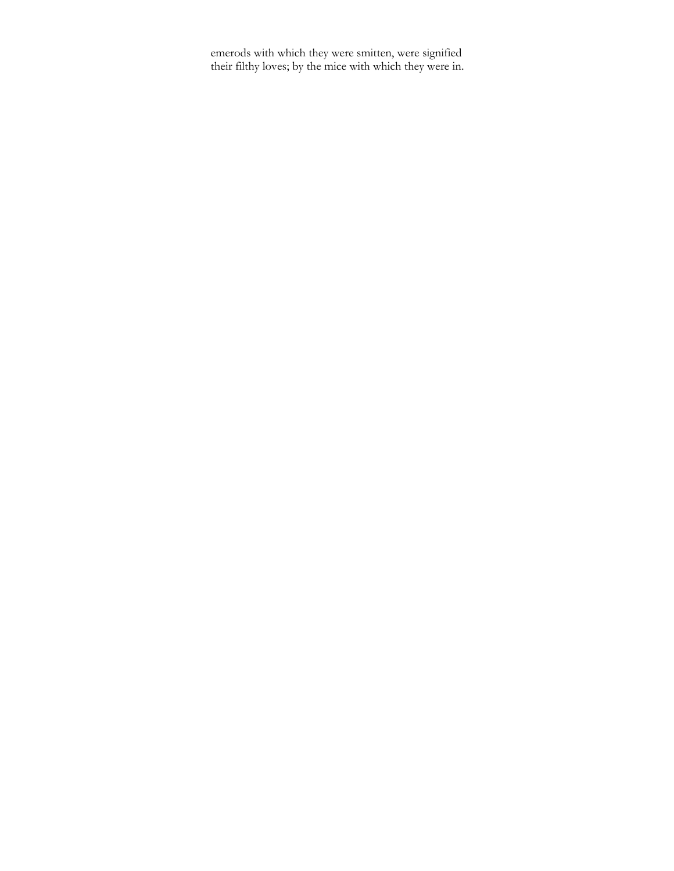emerods with which they were smitten, were signified their filthy loves; by the mice with which they were in.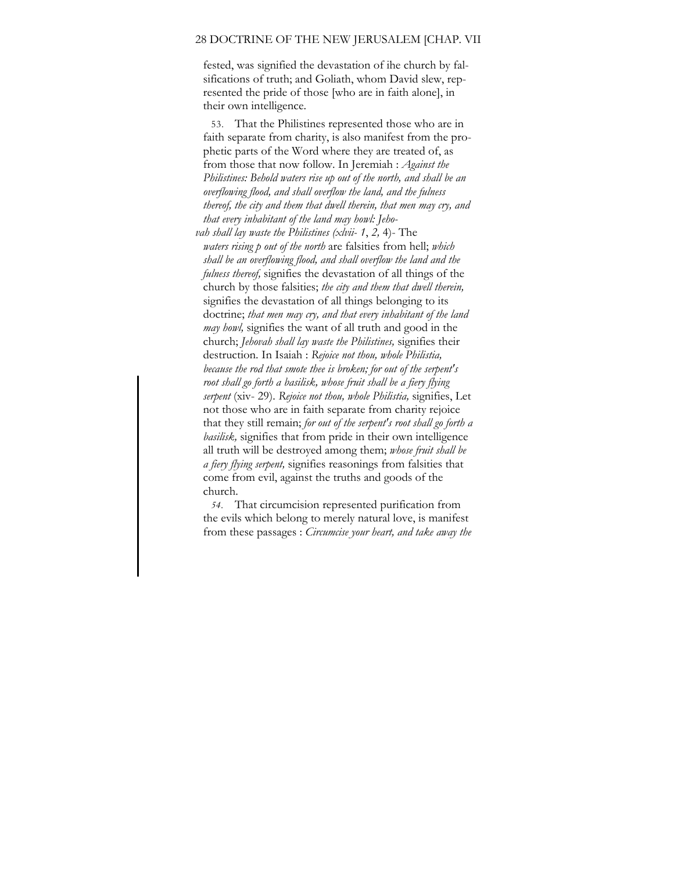#### 28 DOCTRINE OF THE NEW JERUSALEM [CHAP. VII

fested, was signified the devastation of ihe church by falsifications of truth; and Goliath, whom David slew, represented the pride of those [who are in faith alone], in their own intelligence.

53. That the Philistines represented those who are in faith separate from charity, is also manifest from the prophetic parts of the Word where they are treated of, as from those that now follow. In Jeremiah : *Against the Philistines: Behold waters rise up out of the north, and shall be an overflowing flood, and shall overflow the land, and the fulness thereof, the city and them that dwell therein, that men may cry, and that every inhabitant of the land may howl: Jeho-*

*vah shall lay waste the Philistines (xlvii- 1*, *2,* 4)- The *waters rising p out of the north* are falsities from hell; *which shall be an overflowing flood, and shall overflow the land and the fulness thereof,* signifies the devastation of all things of the church by those falsities; *the city and them that dwell therein,*  signifies the devastation of all things belonging to its doctrine; *that men may cry, and that every inhabitant of the land may howl,* signifies the want of all truth and good in the church; *Jehovah shall lay waste the Philistines,* signifies their destruction. In Isaiah : *Rejoice not thou, whole Philistia, because the rod that smote thee is broken; for out of the serpent's root shall go forth a basilisk, whose fruit shall be a fiery flying serpent* (xiv- 29). *Rejoice not thou, whole Philistia,* signifies, Let not those who are in faith separate from charity rejoice that they still remain; *for out of the serpent's root shall go forth a basilisk,* signifies that from pride in their own intelligence all truth will be destroyed among them; *whose fruit shall be a fiery flying serpent,* signifies reasonings from falsities that come from evil, against the truths and goods of the church.

*54.* That circumcision represented purification from the evils which belong to merely natural love, is manifest from these passages : *Circumcise your heart, and take away the*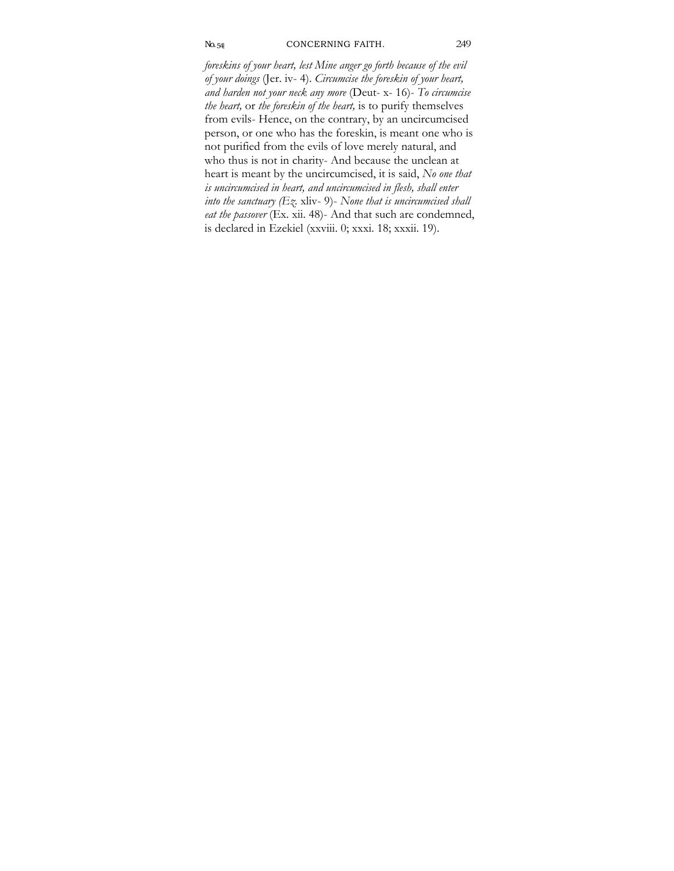#### No.541 CONCERNING FAITH. 249

*foreskins of your heart, lest Mine anger go forth because of the evil of your doings* (Jer. iv- 4). *Circumcise the foreskin of your heart, and harden not your neck any more* (Deut- x- 16)- *To circumcise the heart,* or *the foreskin of the heart,* is to purify themselves from evils- Hence, on the contrary, by an uncircumcised person, or one who has the foreskin, is meant one who is not purified from the evils of love merely natural, and who thus is not in charity- And because the unclean at heart is meant by the uncircumcised, it is said, *No one that is uncircumcised in heart, and uncircumcised in flesh, shall enter into the sanctuary (Ez.* xliv- 9)- *None that is uncircumcised shall eat the passover* (Ex. xii. 48)- And that such are condemned, is declared in Ezekiel (xxviii. 0; xxxi. 18; xxxii. 19).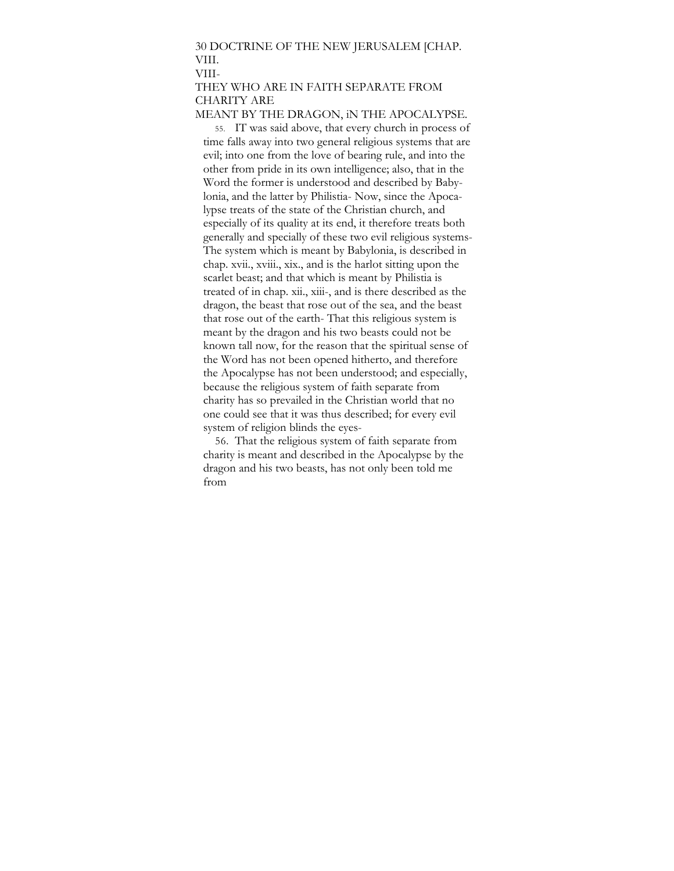# 30 DOCTRINE OF THE NEW JERUSALEM [CHAP. VIII.

VIII-

# THEY WHO ARE IN FAITH SEPARATE FROM CHARITY ARE

# MEANT BY THE DRAGON, iN THE APOCALYPSE.

55. IT was said above, that every church in process of time falls away into two general religious systems that are evil; into one from the love of bearing rule, and into the other from pride in its own intelligence; also, that in the Word the former is understood and described by Babylonia, and the latter by Philistia- Now, since the Apocalypse treats of the state of the Christian church, and especially of its quality at its end, it therefore treats both generally and specially of these two evil religious systems-The system which is meant by Babylonia, is described in chap. xvii., xviii., xix., and is the harlot sitting upon the scarlet beast; and that which is meant by Philistia is treated of in chap. xii., xiii-, and is there described as the dragon, the beast that rose out of the sea, and the beast that rose out of the earth- That this religious system is meant by the dragon and his two beasts could not be known tall now, for the reason that the spiritual sense of the Word has not been opened hitherto, and therefore the Apocalypse has not been understood; and especially, because the religious system of faith separate from charity has so prevailed in the Christian world that no one could see that it was thus described; for every evil system of religion blinds the eyes-

56. That the religious system of faith separate from charity is meant and described in the Apocalypse by the dragon and his two beasts, has not only been told me from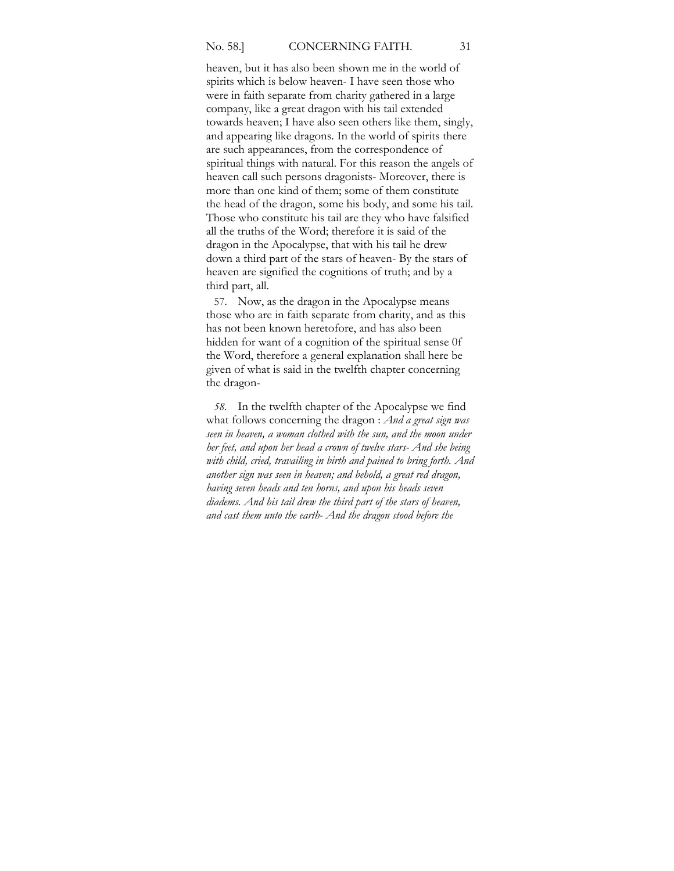heaven, but it has also been shown me in the world of spirits which is below heaven- I have seen those who were in faith separate from charity gathered in a large company, like a great dragon with his tail extended towards heaven; I have also seen others like them, singly, and appearing like dragons. In the world of spirits there are such appearances, from the correspondence of spiritual things with natural. For this reason the angels of heaven call such persons dragonists- Moreover, there is more than one kind of them; some of them constitute the head of the dragon, some his body, and some his tail. Those who constitute his tail are they who have falsified all the truths of the Word; therefore it is said of the dragon in the Apocalypse, that with his tail he drew down a third part of the stars of heaven- By the stars of heaven are signified the cognitions of truth; and by a third part, all.

57. Now, as the dragon in the Apocalypse means those who are in faith separate from charity, and as this has not been known heretofore, and has also been hidden for want of a cognition of the spiritual sense 0f the Word, therefore a general explanation shall here be given of what is said in the twelfth chapter concerning the dragon-

*58.* In the twelfth chapter of the Apocalypse we find what follows concerning the dragon : *And a great sign was seen in heaven, a woman clothed with the sun, and the moon under her feet, and upon her head a crown of twelve stars- And she being with child, cried, travailing in birth and pained to bring forth. And another sign was seen in heaven; and behold, a great red dragon, having seven heads and ten horns, and upon his heads seven diadems. And his tail drew the third part of the stars of heaven, and cast them unto the earth- And the dragon stood before the*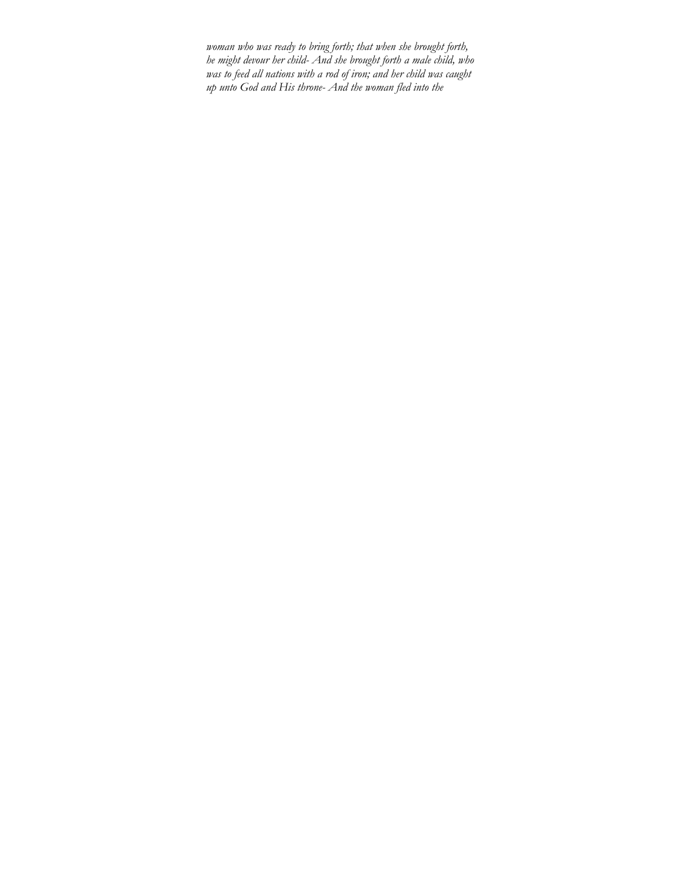*woman who was ready to bring forth; that when she brought forth, he might devour her child- And she brought forth a male child, who was to feed all nations with a rod of iron; and her child was caught up unto God and His throne- And the woman fled into the*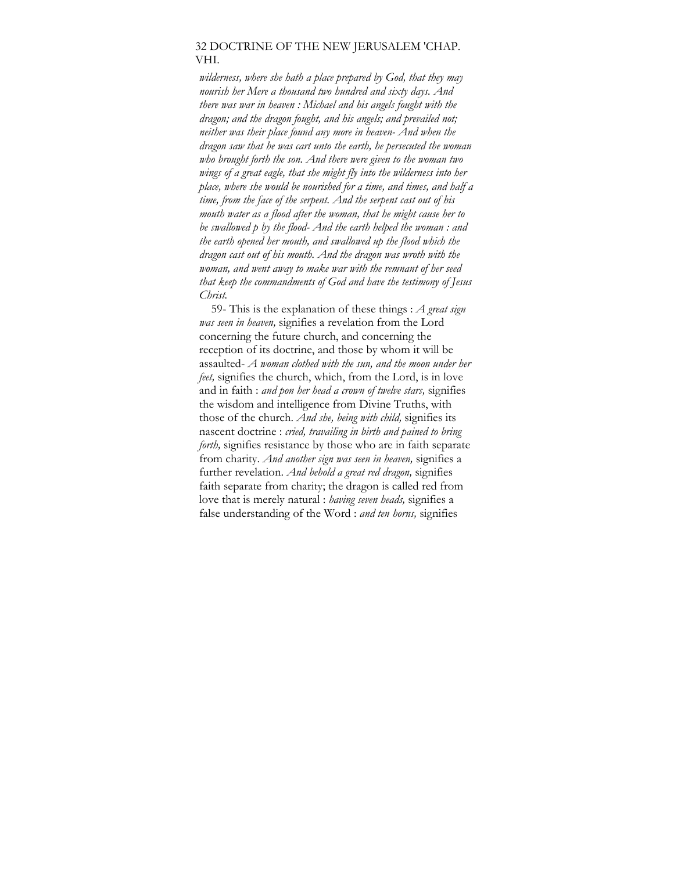## 32 DOCTRINE OF THE NEW JERUSALEM 'CHAP. VHI.

*wilderness, where she hath a place prepared by God, that they may nourish her Mere a thousand two hundred and sixty days. And there was war in heaven : Michael and his angels fought with the dragon; and the dragon fought, and his angels; and prevailed not; neither was their place found any more in heaven- And when the dragon saw that he was cart unto the earth, he persecuted the woman who brought forth the son. And there were given to the woman two wings of a great eagle, that she might fly into the wilderness into her place, where she would be nourished for a time, and times, and half a time, from the face of the serpent. And the serpent cast out of his mouth water as a flood after the woman, that he might cause her to be swallowed p by the flood- And the earth helped the woman : and the earth opened her mouth, and swallowed up the flood which the dragon cast out of his mouth. And the dragon was wroth with the woman, and went away to make war with the remnant of her seed that keep the commandments of God and have the testimony of Jesus Christ.* 

59- This is the explanation of these things : *A great sign was seen in heaven,* signifies a revelation from the Lord concerning the future church, and concerning the reception of its doctrine, and those by whom it will be assaulted- *A woman clothed with the sun, and the moon under her feet,* signifies the church, which, from the Lord, is in love and in faith : *and pon her head a crown of twelve stars,* signifies the wisdom and intelligence from Divine Truths, with those of the church. *And she, being with child,* signifies its nascent doctrine : *cried, travailing in birth and pained to bring forth,* signifies resistance by those who are in faith separate from charity. *And another sign was seen in heaven,* signifies a further revelation. *And behold a great red dragon,* signifies faith separate from charity; the dragon is called red from love that is merely natural : *having seven heads,* signifies a false understanding of the Word : *and ten horns,* signifies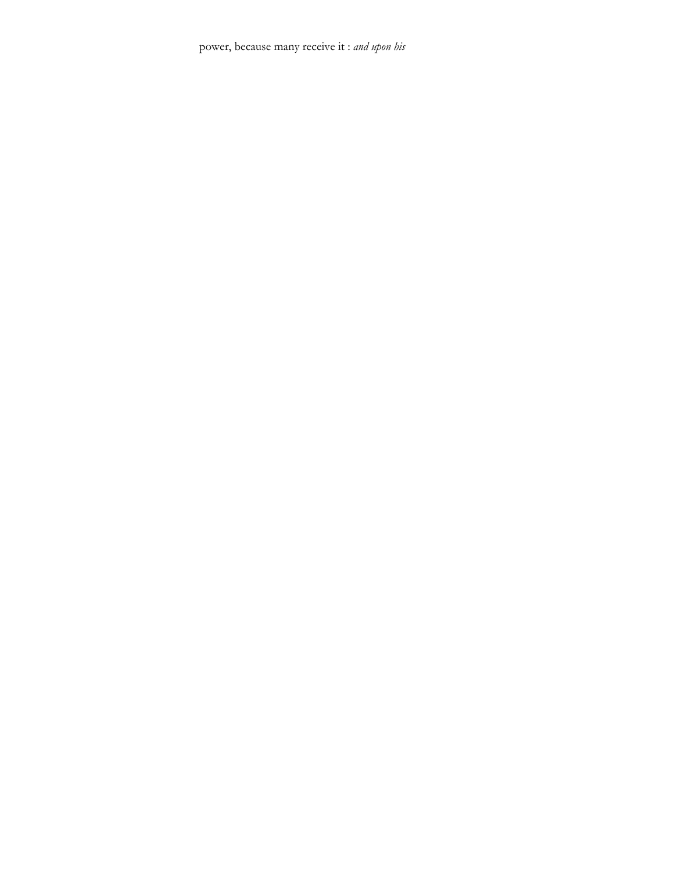power, because many receive it : *and upon his*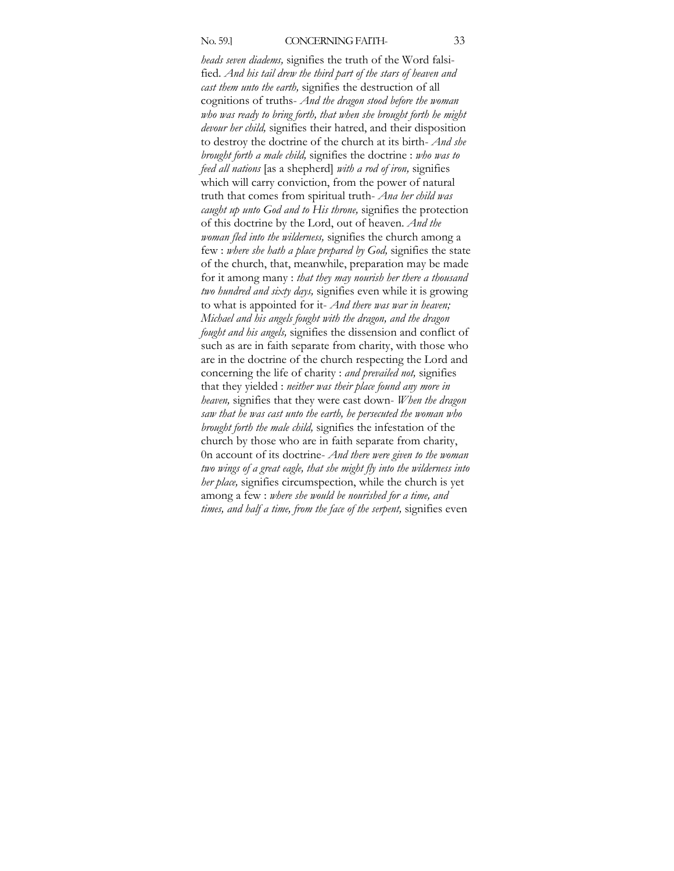#### No. 59.] CONCERNINGFAITH- 33

*heads seven diadems,* signifies the truth of the Word falsified. *And his tail drew the third part of the stars of heaven and cast them unto the earth,* signifies the destruction of all cognitions of truths- *And the dragon stood before the woman who was ready to bring forth, that when she brought forth he might devour her child,* signifies their hatred, and their disposition to destroy the doctrine of the church at its birth- *And she brought forth a male child,* signifies the doctrine : *who was to feed all nations* [as a shepherd] *with a rod of iron,* signifies which will carry conviction, from the power of natural truth that comes from spiritual truth- *Ana her child was caught up unto God and to His throne,* signifies the protection of this doctrine by the Lord, out of heaven. *And the woman fled into the wilderness,* signifies the church among a few : *where she hath a place prepared by God,* signifies the state of the church, that, meanwhile, preparation may be made for it among many : *that they may nourish her there a thousand two hundred and sixty days,* signifies even while it is growing to what is appointed for it- *And there was war in heaven; Michael and his angels fought with the dragon, and the dragon fought and his angels,* signifies the dissension and conflict of such as are in faith separate from charity, with those who are in the doctrine of the church respecting the Lord and concerning the life of charity : *and prevailed not,* signifies that they yielded : *neither was their place found any more in heaven,* signifies that they were cast down- *When the dragon saw that he was cast unto the earth, he persecuted the woman who brought forth the male child,* signifies the infestation of the church by those who are in faith separate from charity, 0n account of its doctrine- *And there were given to the woman two wings of a great eagle, that she might fly into the wilderness into her place,* signifies circumspection, while the church is yet among a few : *where she would be nourished for a time, and times, and half a time, from the face of the serpent,* signifies even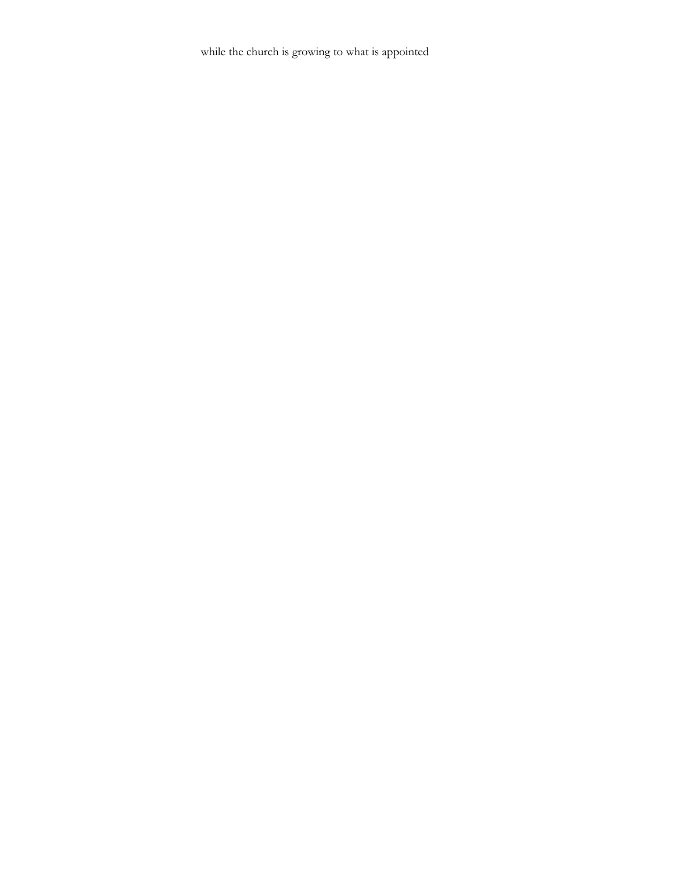while the church is growing to what is appointed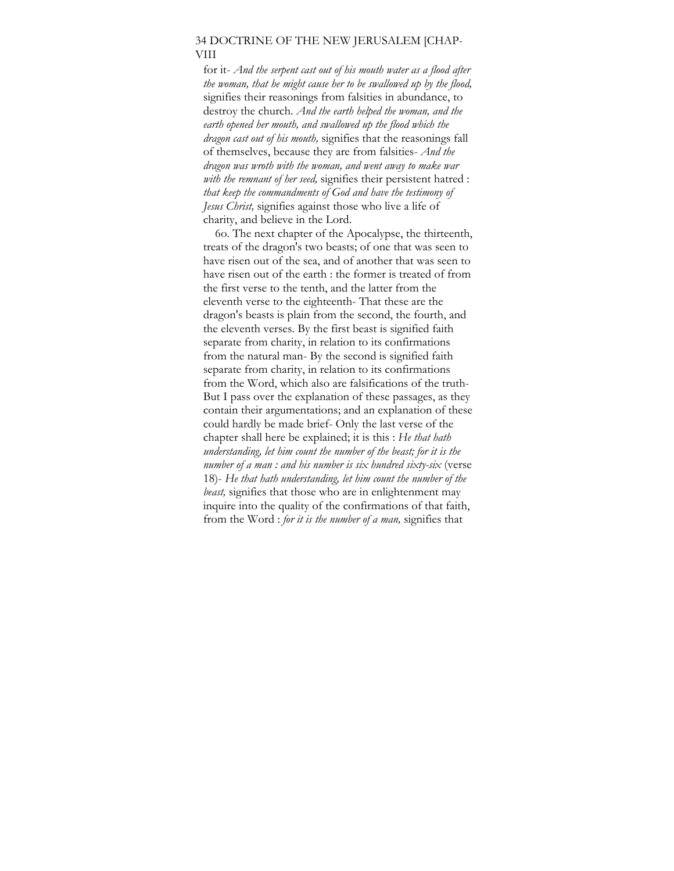# 34 DOCTRINE OF THE NEW JERUSALEM [CHAP-VIII

for it- *And the serpent cast out of his mouth water as a flood after the woman, that he might cause her to be swallowed up by the flood,*  signifies their reasonings from falsities in abundance, to destroy the church. *And the earth helped the woman, and the earth opened her mouth, and swallowed up the flood which the dragon cast out of his mouth,* signifies that the reasonings fall of themselves, because they are from falsities- *And the dragon was wroth with the woman, and went away to make war with the remnant of her seed,* signifies their persistent hatred : *that keep the commandments of God and have the testimony of Jesus Christ,* signifies against those who live a life of charity, and believe in the Lord.

6o. The next chapter of the Apocalypse, the thirteenth, treats of the dragon's two beasts; of one that was seen to have risen out of the sea, and of another that was seen to have risen out of the earth : the former is treated of from the first verse to the tenth, and the latter from the eleventh verse to the eighteenth- That these are the dragon's beasts is plain from the second, the fourth, and the eleventh verses. By the first beast is signified faith separate from charity, in relation to its confirmations from the natural man- By the second is signified faith separate from charity, in relation to its confirmations from the Word, which also are falsifications of the truth-But I pass over the explanation of these passages, as they contain their argumentations; and an explanation of these could hardly be made brief- Only the last verse of the chapter shall here be explained; it is this : *He that hath understanding, let him count the number of the beast; for it is the number of a man : and his number is six hundred sixty-six* (verse 18)- *He that hath understanding, let him count the number of the beast,* signifies that those who are in enlightenment may inquire into the quality of the confirmations of that faith, from the Word : *for it is the number of a man,* signifies that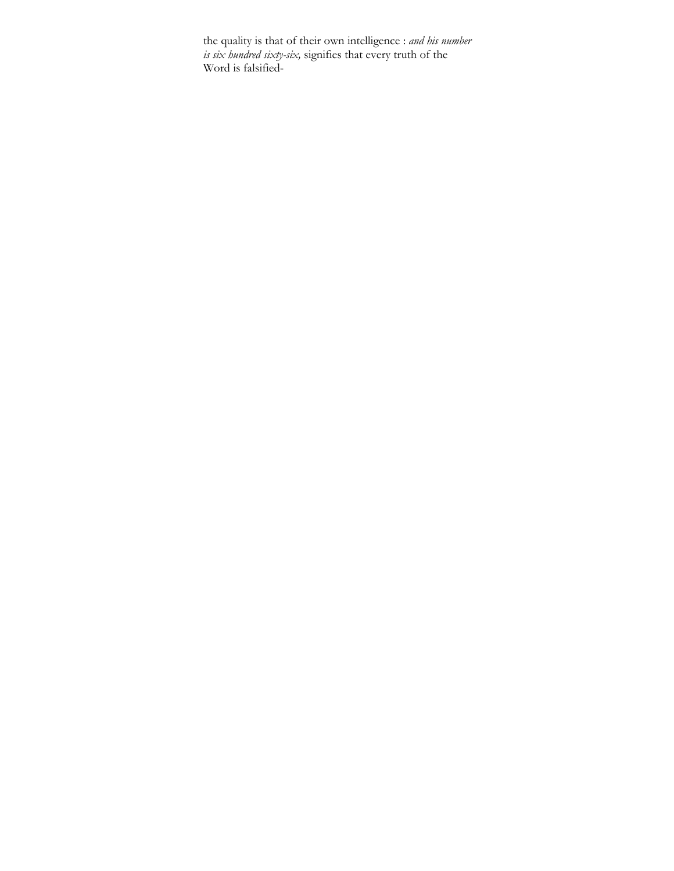the quality is that of their own intelligence : *and his number is six hundred sixty-six,* signifies that every truth of the Word is falsified-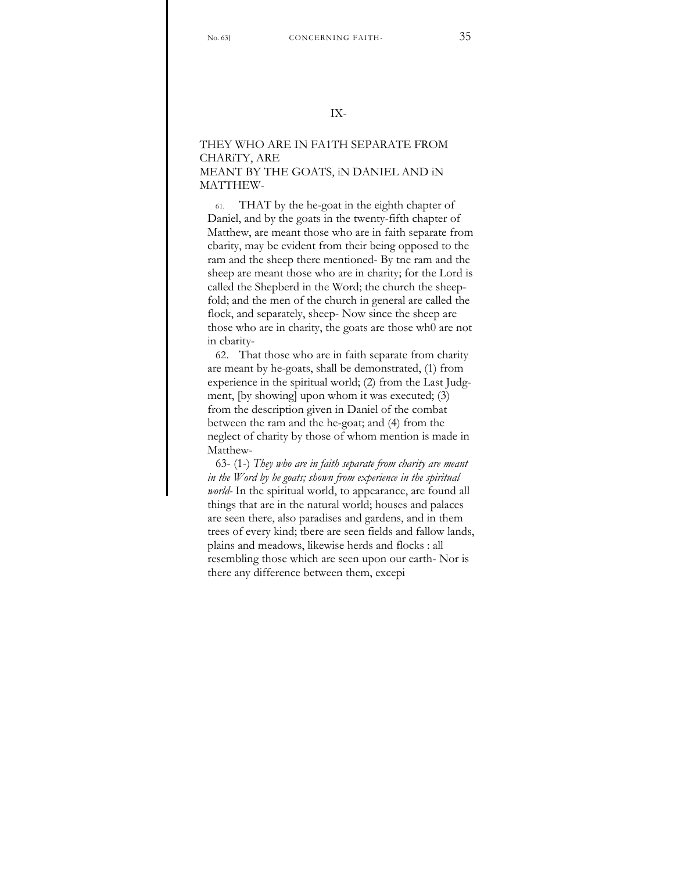#### IX-

# THEY WHO ARE IN FA1TH SEPARATE FROM CHARiTY, ARE MEANT BY THE GOATS, iN DANIEL AND iN MATTHEW-

61. THAT by the he-goat in the eighth chapter of Daniel, and by the goats in the twenty-fifth chapter of Matthew, are meant those who are in faith separate from cbarity, may be evident from their being opposed to the ram and the sheep there mentioned- By tne ram and the sheep are meant those who are in charity; for the Lord is called the Shepberd in the Word; the church the sheepfold; and the men of the church in general are called the flock, and separately, sheep- Now since the sheep are those who are in charity, the goats are those wh0 are not in cbarity-

62. That those who are in faith separate from charity are meant by he-goats, shall be demonstrated, (1) from experience in the spiritual world; (2) from the Last Judgment, [by showing] upon whom it was executed; (3) from the description given in Daniel of the combat between the ram and the he-goat; and (4) from the neglect of charity by those of whom mention is made in Matthew-

63- (1-) *They who are in faith separate from charity are meant in the Word by he goats; shown from experience in the spiritual world-* In the spiritual world, to appearance, are found all things that are in the natural world; houses and palaces are seen there, also paradises and gardens, and in them trees of every kind; tbere are seen fields and fallow lands, plains and meadows, likewise herds and flocks : all resembling those which are seen upon our earth- Nor is there any difference between them, excepi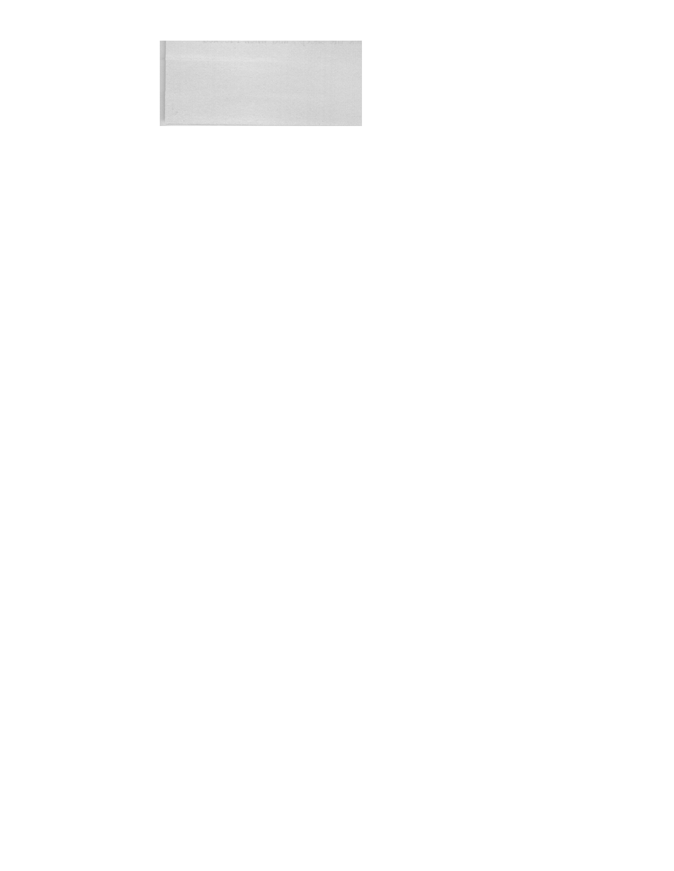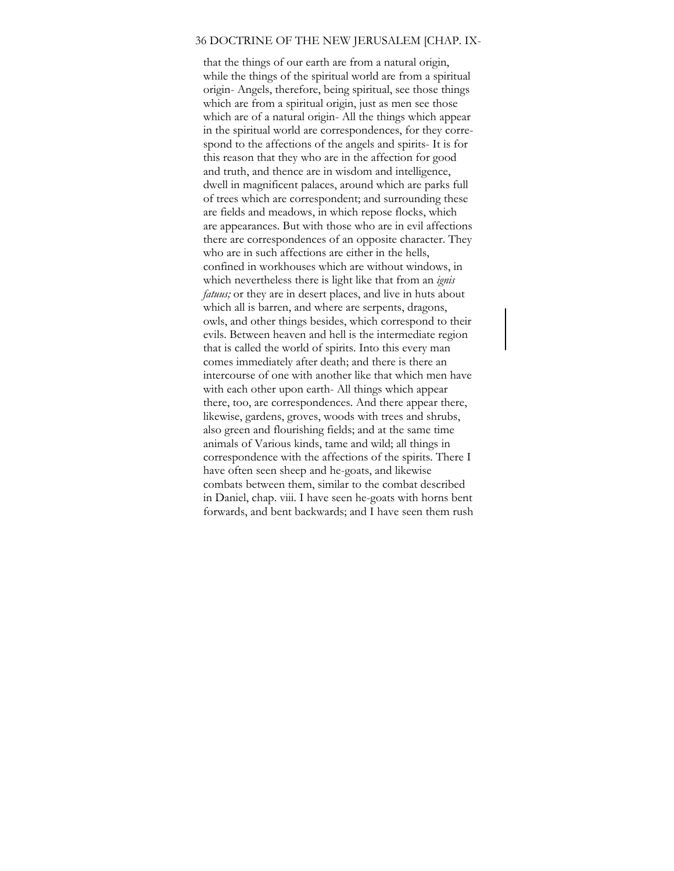#### 36 DOCTRINE OF THE NEW JERUSALEM [CHAP. IX-

that the things of our earth are from a natural origin, while the things of the spiritual world are from a spiritual origin- Angels, therefore, being spiritual, see those things which are from a spiritual origin, just as men see those which are of a natural origin- All the things which appear in the spiritual world are correspondences, for they correspond to the affections of the angels and spirits- It is for this reason that they who are in the affection for good and truth, and thence are in wisdom and intelligence, dwell in magnificent palaces, around which are parks full of trees which are correspondent; and surrounding these are fields and meadows, in which repose flocks, which are appearances. But with those who are in evil affections there are correspondences of an opposite character. They who are in such affections are either in the hells, confined in workhouses which are without windows, in which nevertheless there is light like that from an *ignis fatuus;* or they are in desert places, and live in huts about which all is barren, and where are serpents, dragons, owls, and other things besides, which correspond to their evils. Between heaven and hell is the intermediate region that is called the world of spirits. Into this every man comes immediately after death; and there is there an intercourse of one with another like that which men have with each other upon earth- All things which appear there, too, are correspondences. And there appear there, likewise, gardens, groves, woods with trees and shrubs, also green and flourishing fields; and at the same time animals of Various kinds, tame and wild; all things in correspondence with the affections of the spirits. There I have often seen sheep and he-goats, and likewise combats between them, similar to the combat described in Daniel, chap. viii. I have seen he-goats with horns bent forwards, and bent backwards; and I have seen them rush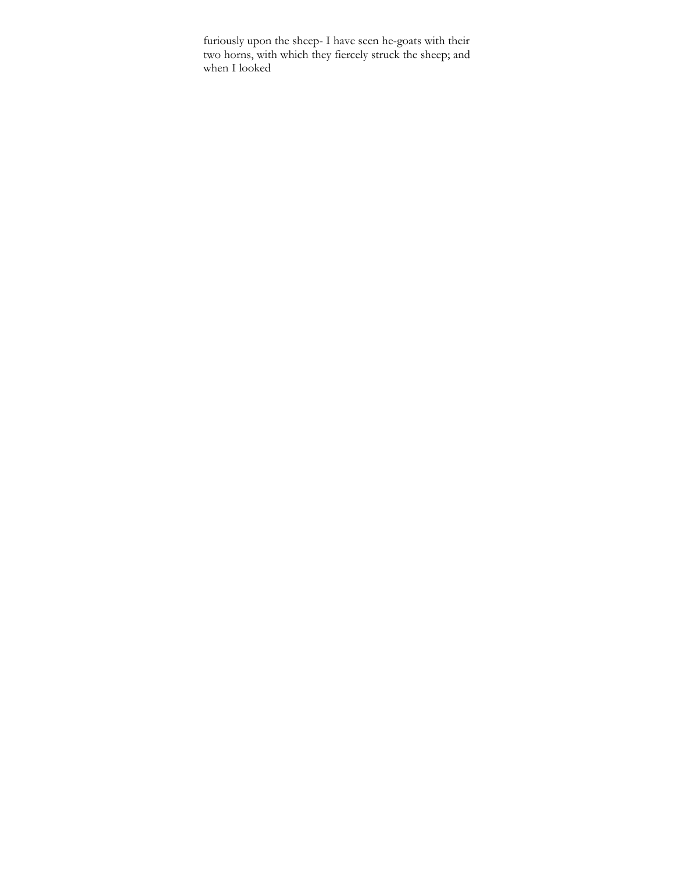furiously upon the sheep- I have seen he-goats with their two horns, with which they fiercely struck the sheep; and when I looked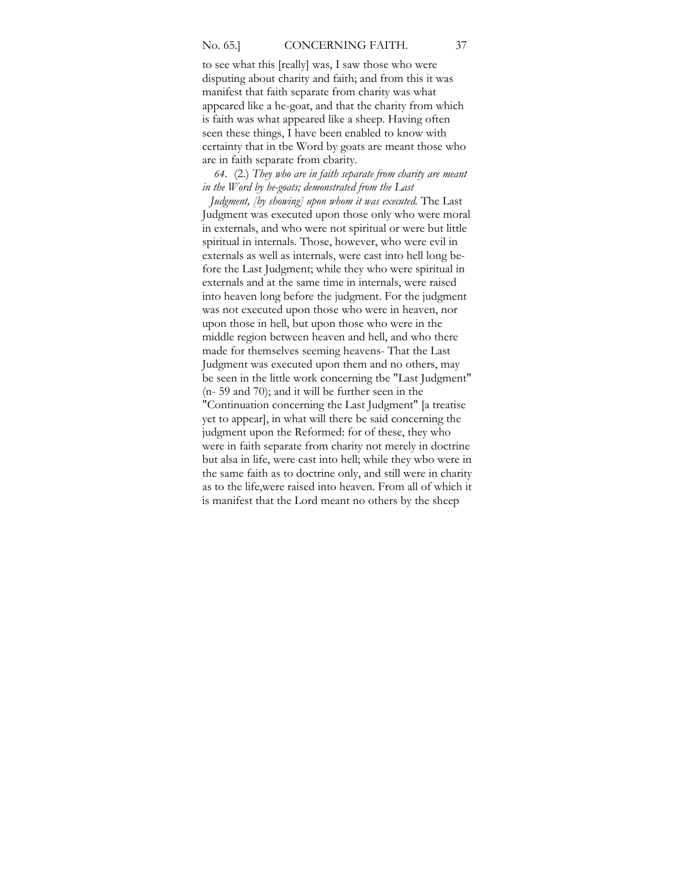### No. 65.] CONCERNING FAITH. 37

to see what this [really] was, I saw those who were disputing about charity and faith; and from this it was manifest that faith separate from charity was what appeared like a he-goat, and that the charity from which is faith was what appeared like a sheep. Having often seen these things, I have been enabled to know with certainty that in tbe Word by goats are meant those who are in faith separate from cbarity.

*64.* (2.) *They who are in faith separate from charity are meant in the Word by he-goats; demonstrated from the Last* 

*Judgment, [by showing] upon whom it was executed.* The Last Judgment was executed upon those only who were moral in externals, and who were not spiritual or were but little spiritual in internals. Those, however, who were evil in externals as well as internals, were cast into hell long before the Last Judgment; while they who were spiritual in externals and at the same time in internals, were raised into heaven long before the judgment. For the judgment was not executed upon those who were in heaven, nor upon those in hell, but upon those who were in the middle region between heaven and hell, and who there made for themselves seeming heavens- That the Last Judgment was executed upon them and no others, may be seen in the little work concerning tbe "Last Judgment" (n- 59 and 70); and it will be further seen in the "Continuation concerning the Last Judgment" [a treatise yet to appear], in what will there be said concerning the judgment upon the Reformed: for of these, they who were in faith separate from charity not merely in doctrine but alsa in life, were cast into hell; while they wbo were in the same faith as to doctrine only, and still were in charity as to the life,were raised into heaven. From all of which it is manifest that the Lord meant no others by the sheep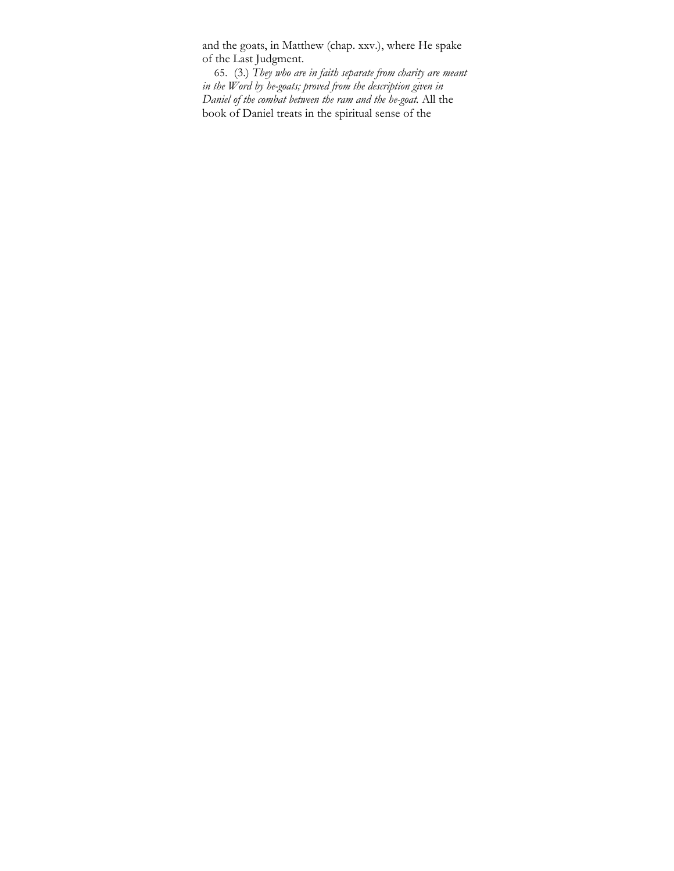and the goats, in Matthew (chap. xxv.), where He spake of the Last Judgment.

65. (3.) *They who are in faith separate from charity are meant in the Word by he-goats; proved from the description given in Daniel of the combat between the ram and the he-goat.* All the book of Daniel treats in the spiritual sense of the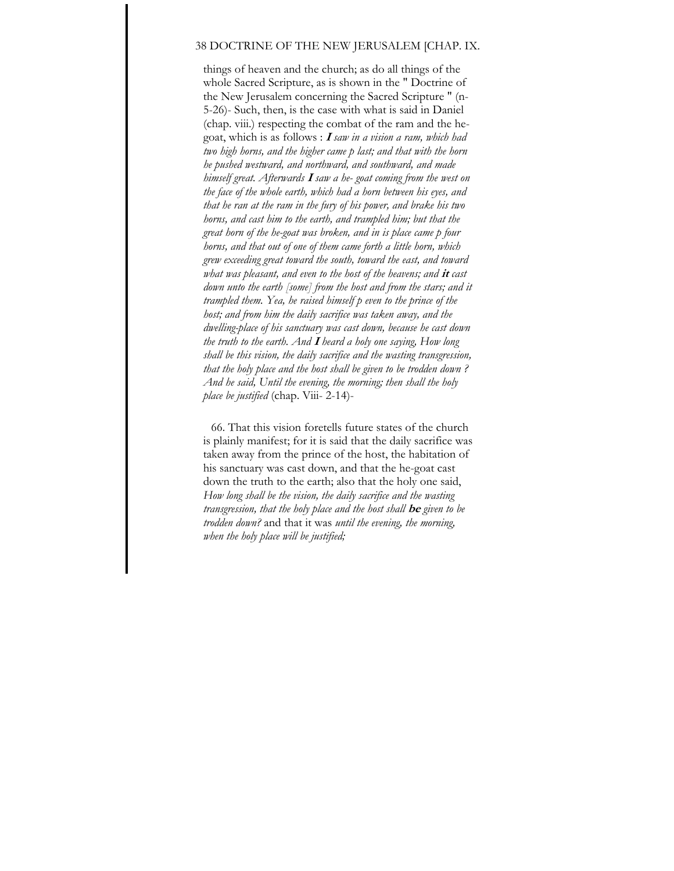### 38 DOCTRINE OF THE NEW JERUSALEM [CHAP. IX.

things of heaven and the church; as do all things of the whole Sacred Scripture, as is shown in the " Doctrine of the New Jerusalem concerning the Sacred Scripture " (n-5-26)- Such, then, is the case with what is said in Daniel (chap. viii.) respecting the combat of the ram and the hegoat, which is as follows : **I** *saw in a vision a ram, which had two high horns, and the higher came p last; and that with the horn he pushed westward, and northward, and southward, and made himself great. Afterwards* **I** *saw a he- goat coming from the west on the face of the whole earth, which had a horn between his eyes, and that he ran at the ram in the fury of his power, and brake his two horns, and cast him to the earth, and trampled him; but that the great horn of the he-goat was broken, and in is place came p four horns, and that out of one of them came forth a little horn, which grew exceeding great toward the south, toward the east, and toward what was pleasant, and even to the host of the heavens; and* **it** *cast down unto the earth [some] from the host and from the stars; and it trampled them. Yea, he raised himself p even to the prince of the host; and from him the daily sacrifice was taken away, and the dwelling-place of his sanctuary was cast down, because he cast down the truth to the earth. And* **I** *heard a holy one saying, How long shall be this vision, the daily sacrifice and the wasting transgression, that the holy place and the host shall be given to be trodden down ? And he said, Until the evening, the morning; then shall the holy place be justified* (chap. Viii- 2-14)-

66. That this vision foretells future states of the church is plainly manifest; for it is said that the daily sacrifice was taken away from the prince of the host, the habitation of his sanctuary was cast down, and that the he-goat cast down the truth to the earth; also that the holy one said, *How long shall be the vision, the daily sacrifice and the wasting transgression, that the holy place and the host shall* **be** *given to be trodden down?* and that it was *until the evening, the morning, when the holy place will be justified;*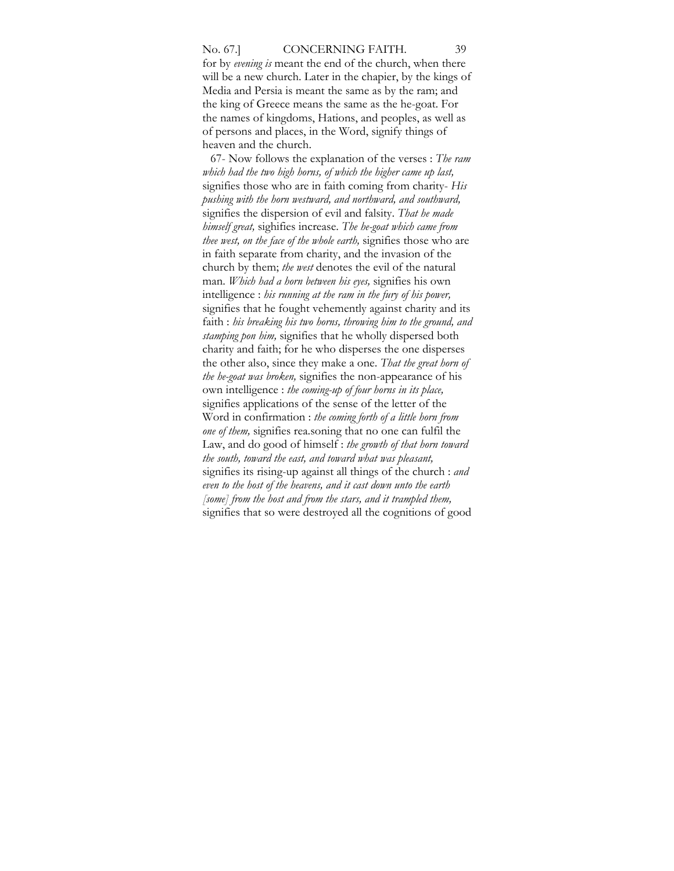# No. 67.] CONCERNING FAITH. 39

for by *evening is* meant the end of the church, when there will be a new church. Later in the chapier, by the kings of Media and Persia is meant the same as by the ram; and the king of Greece means the same as the he-goat. For the names of kingdoms, Hations, and peoples, as well as of persons and places, in the Word, signify things of heaven and the church.

67- Now follows the explanation of the verses : *The ram which had the two high horns, of which the higher came up last,*  signifies those who are in faith coming from charity- *His pushing with the horn westward, and northward, and southward,*  signifies the dispersion of evil and falsity. *That he made himself great,* sighifies increase. *The he-goat which came from thee west, on the face of the whole earth,* signifies those who are in faith separate from charity, and the invasion of the church by them; *the west* denotes the evil of the natural man. *Which had a horn between his eyes,* signifies his own intelligence : *his running at the ram in the fury of his power,*  signifies that he fought vehemently against charity and its faith : *his breaking his two horns, throwing him to the ground, and stamping pon him,* signifies that he wholly dispersed both charity and faith; for he who disperses the one disperses the other also, since they make a one. *That the great horn of the he-goat was broken,* signifies the non-appearance of his own intelligence : *the coming-up of four horns in its place,*  signifies applications of the sense of the letter of the Word in confirmation : *the coming forth of a little horn from one of them,* signifies rea.soning that no one can fulfil the Law, and do good of himself : *the growth of that horn toward the south, toward the east, and toward what was pleasant,*  signifies its rising-up against all things of the church : *and even to the host of the heavens, and it cast down unto the earth [some] from the host and from the stars, and it trampled them,*  signifies that so were destroyed all the cognitions of good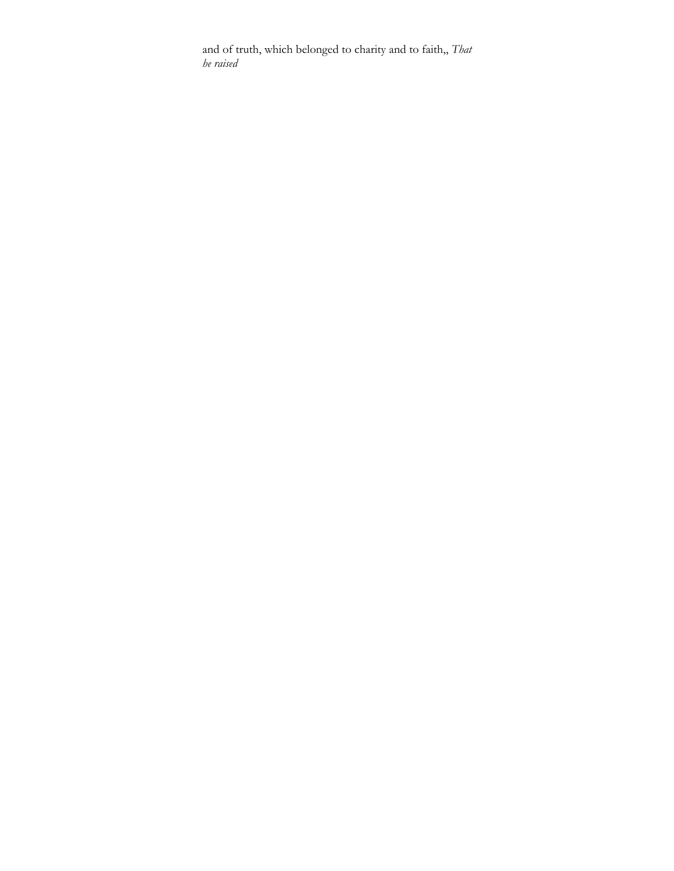and of truth, which belonged to charity and to faith,, That *he raised*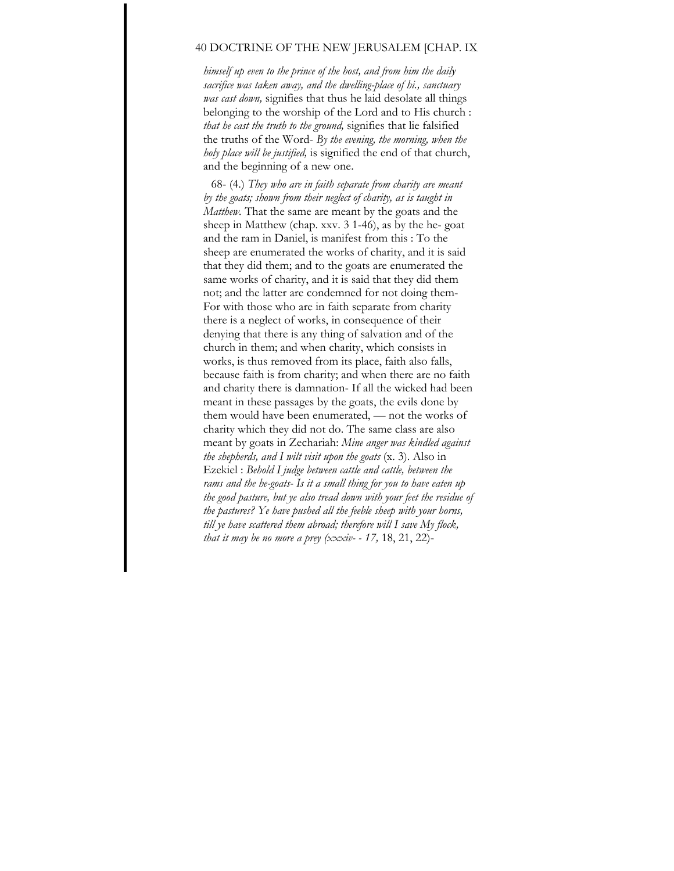## 40 DOCTRINE OF THE NEW JERUSALEM [CHAP. IX

*himself up even to the prince of the host, and from him the daily sacrifice was taken away, and the dwelling-place of hi., sanctuary was cast down,* signifies that thus he laid desolate all things belonging to the worship of the Lord and to His church : *that he cast the truth to the ground,* signifies that lie falsified the truths of the Word- *By the evening, the morning, when the holy place will be justified,* is signified the end of that church, and the beginning of a new one.

68- (4.) *They who are in faith separate from charity are meant by the goats; shown from their neglect of charity, as is taught in Matthew.* That the same are meant by the goats and the sheep in Matthew (chap. xxv. 3 1-46), as by the he- goat and the ram in Daniel, is manifest from this : To the sheep are enumerated the works of charity, and it is said that they did them; and to the goats are enumerated the same works of charity, and it is said that they did them not; and the latter are condemned for not doing them-For with those who are in faith separate from charity there is a neglect of works, in consequence of their denying that there is any thing of salvation and of the church in them; and when charity, which consists in works, is thus removed from its place, faith also falls, because faith is from charity; and when there are no faith and charity there is damnation- If all the wicked had been meant in these passages by the goats, the evils done by them would have been enumerated, — not the works of charity which they did not do. The same class are also meant by goats in Zechariah: *Mine anger was kindled against the shepherds, and I wilt visit upon the goats* (x. 3). Also in Ezekiel : *Behold I judge between cattle and cattle, between the rams and the he-goats- Is it a small thing for you to have eaten up the good pasture, but ye also tread down with your feet the residue of the pastures? Ye have pushed all the feeble sheep with your horns, till ye have scattered them abroad; therefore will I save My flock, that it may be no more a prey (xxxiv- - 17,* 18, 21, 22)-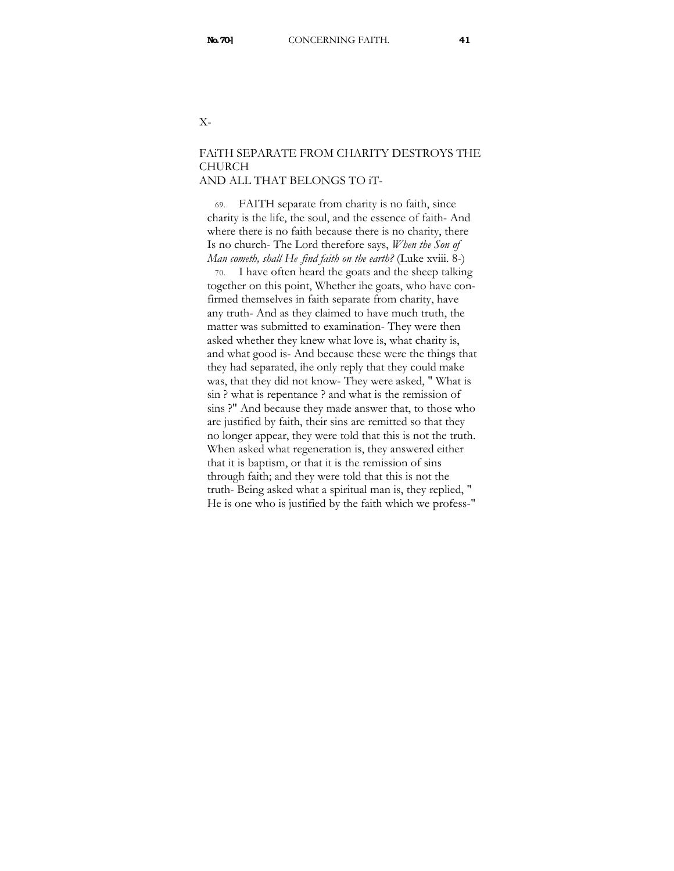# X-

## FAiTH SEPARATE FROM CHARITY DESTROYS THE CHURCH AND ALL THAT BELONGS TO iT-

69. FAITH separate from charity is no faith, since charity is the life, the soul, and the essence of faith- And where there is no faith because there is no charity, there Is no church- The Lord therefore says, *When the Son of Man cometh, shall He .find faith on the earth?* (Luke xviii. 8-)

70. I have often heard the goats and the sheep talking together on this point, Whether ihe goats, who have confirmed themselves in faith separate from charity, have any truth- And as they claimed to have much truth, the matter was submitted to examination- They were then asked whether they knew what love is, what charity is, and what good is- And because these were the things that they had separated, ihe only reply that they could make was, that they did not know- They were asked, " What is sin ? what is repentance ? and what is the remission of sins ?" And because they made answer that, to those who are justified by faith, their sins are remitted so that they no longer appear, they were told that this is not the truth. When asked what regeneration is, they answered either that it is baptism, or that it is the remission of sins through faith; and they were told that this is not the truth- Being asked what a spiritual man is, they replied, " He is one who is justified by the faith which we profess-"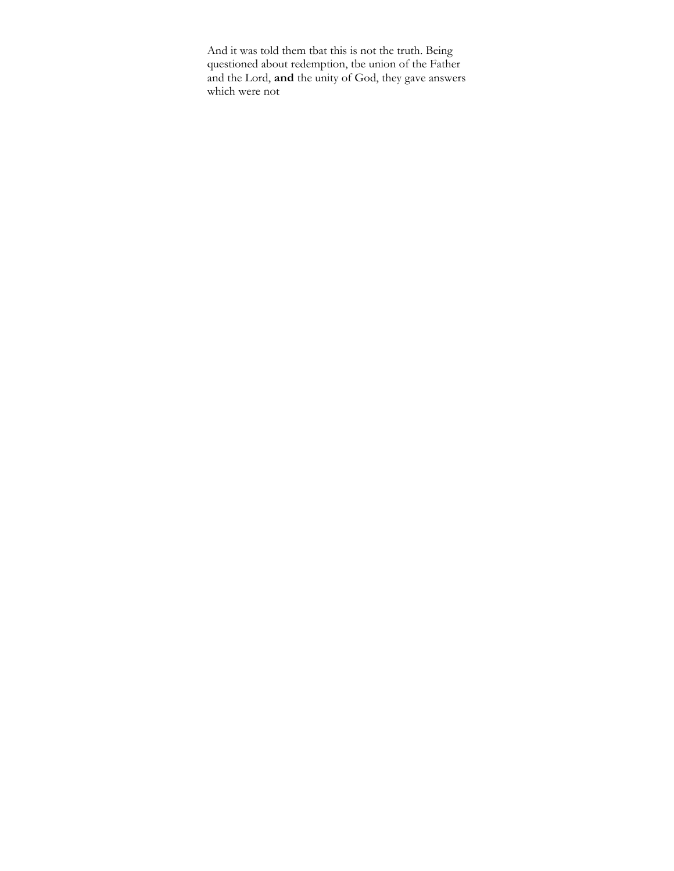And it was told them tbat this is not the truth. Being questioned about redemption, tbe union of the Father and the Lord, **and** the unity of God, they gave answers which were not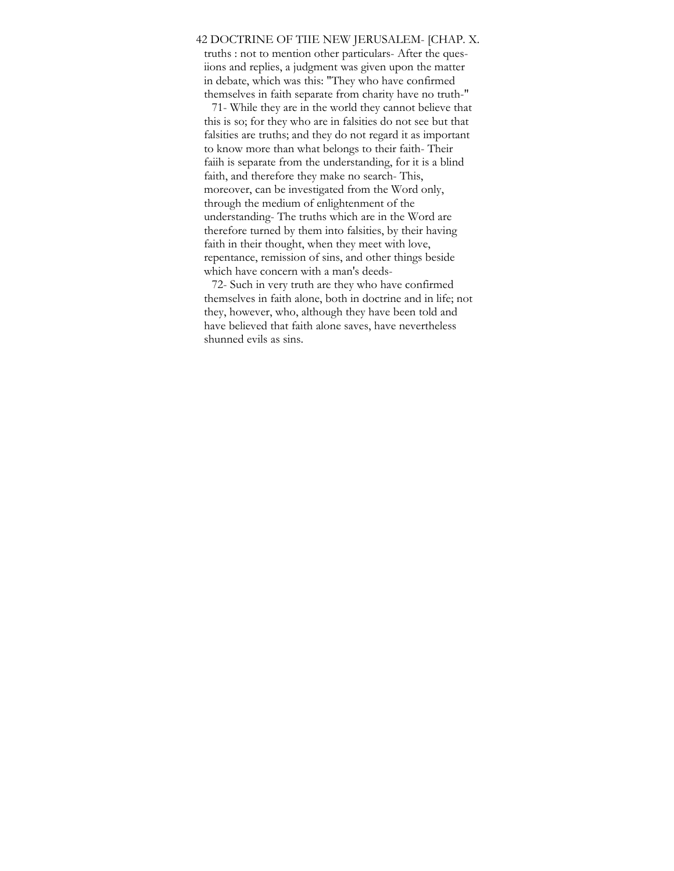# 42 DOCTRINE OF TIIE NEW JERUSALEM- [CHAP. X. truths : not to mention other particulars- After the quesiions and replies, a judgment was given upon the matter in debate, which was this: "They who have confirmed themselves in faith separate from charity have no truth-"

71- While they are in the world they cannot believe that this is so; for they who are in falsities do not see but that falsities are truths; and they do not regard it as important to know more than what belongs to their faith- Their faiih is separate from the understanding, for it is a blind faith, and therefore they make no search- This, moreover, can be investigated from the Word only, through the medium of enlightenment of the understanding- The truths which are in the Word are therefore turned by them into falsities, by their having faith in their thought, when they meet with love, repentance, remission of sins, and other things beside which have concern with a man's deeds-

72- Such in very truth are they who have confirmed themselves in faith alone, both in doctrine and in life; not they, however, who, although they have been told and have believed that faith alone saves, have nevertheless shunned evils as sins.